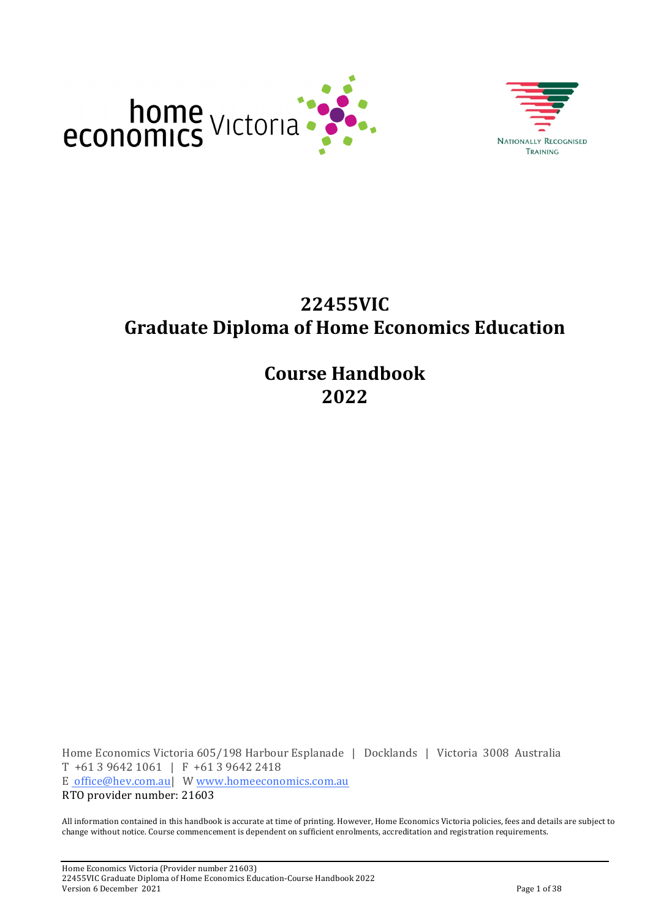



# **22455VIC Graduate Diploma'of'Home'Economics'Education**

**Course'Handbook 2022**

Home Economics Victoria 605/198 Harbour Esplanade | Docklands | Victoria 3008 Australia T +61 3 9642 1061 | F +61 3 9642 2418 E office@hev.com.au| W www.homeeconomics.com.au RTO provider number: 21603

All information contained in this handbook is accurate at time of printing. However, Home Economics Victoria policies, fees and details are subject to change without notice. Course commencement is dependent on sufficient enrolments, accreditation and registration requirements.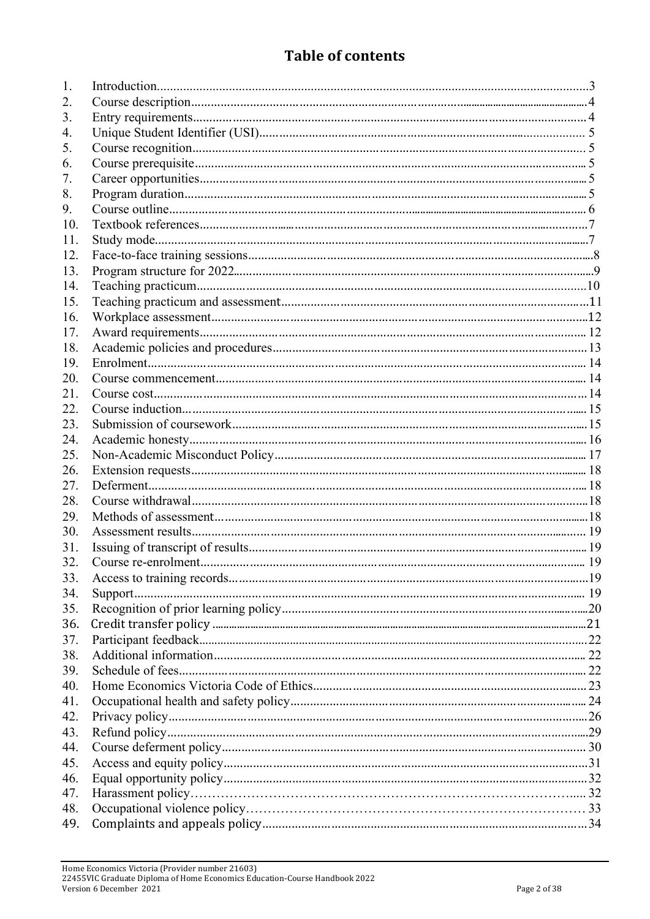### **Table of contents**

| 1.  |  |
|-----|--|
| 2.  |  |
| 3.  |  |
| 4.  |  |
| 5.  |  |
| 6.  |  |
| 7.  |  |
| 8.  |  |
| 9.  |  |
| 10. |  |
| 11. |  |
| 12. |  |
| 13. |  |
| 14. |  |
| 15. |  |
| 16. |  |
| 17. |  |
| 18. |  |
| 19. |  |
| 20. |  |
| 21. |  |
| 22. |  |
| 23. |  |
| 24. |  |
| 25. |  |
| 26. |  |
| 27. |  |
| 28. |  |
| 29. |  |
| 30. |  |
| 31. |  |
| 32. |  |
| 33. |  |
| 34. |  |
| 35. |  |
| 36. |  |
| 37. |  |
| 38. |  |
| 39. |  |
| 40. |  |
| 41. |  |
| 42. |  |
| 43. |  |
| 44. |  |
| 45. |  |
| 46. |  |
| 47. |  |
| 48. |  |
| 49. |  |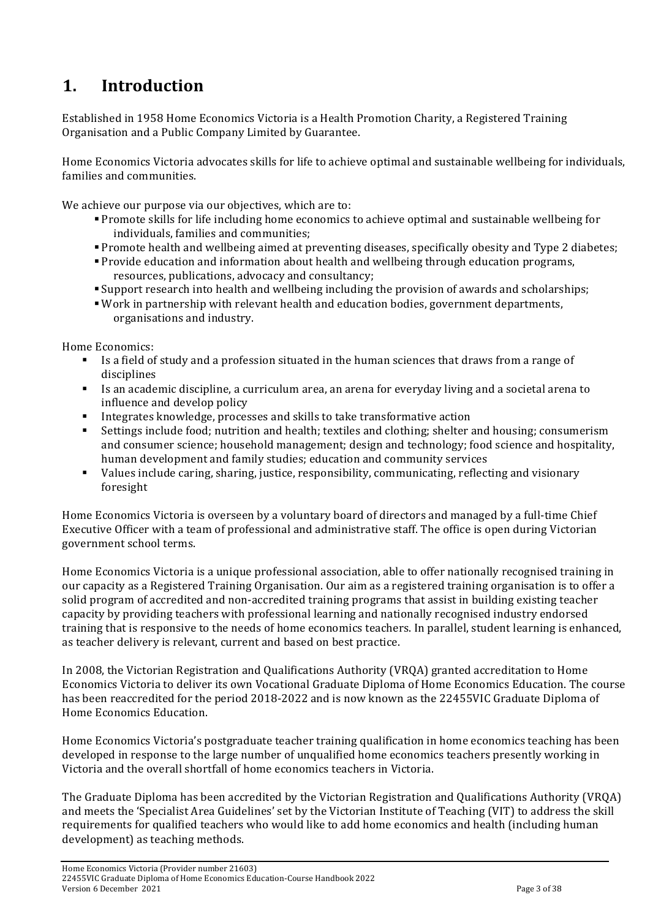# **1. Introduction**

Established in 1958 Home Economics Victoria is a Health Promotion Charity, a Registered Training Organisation and a Public Company Limited by Guarantee.

Home Economics Victoria advocates skills for life to achieve optimal and sustainable wellbeing for individuals, families and communities.

We achieve our purpose via our objectives, which are to:

- " Promote skills for life including home economics to achieve optimal and sustainable wellbeing for individuals, families and communities;
- . Promote health and wellbeing aimed at preventing diseases, specifically obesity and Type 2 diabetes;
- . Provide education and information about health and wellbeing through education programs, resources, publications, advocacy and consultancy;
- " Support research into health and wellbeing including the provision of awards and scholarships;
- " Work in partnership with relevant health and education bodies, government departments, organisations and industry.

Home Economics:

- Is a field of study and a profession situated in the human sciences that draws from a range of disciplines
- $\blacksquare$  Is an academic discipline, a curriculum area, an arena for everyday living and a societal arena to influence and develop policy
- $\blacksquare$  Integrates knowledge, processes and skills to take transformative action
- " Settings include food; nutrition and health; textiles and clothing; shelter and housing; consumerism and consumer science; household management; design and technology; food science and hospitality, human development and family studies; education and community services
- " Values include caring, sharing, justice, responsibility, communicating, reflecting and visionary foresight

Home Economics Victoria is overseen by a voluntary board of directors and managed by a full-time Chief Executive Officer with a team of professional and administrative staff. The office is open during Victorian government school terms.

Home Economics Victoria is a unique professional association, able to offer nationally recognised training in our capacity as a Registered Training Organisation. Our aim as a registered training organisation is to offer a solid program of accredited and non-accredited training programs that assist in building existing teacher capacity by providing teachers with professional learning and nationally recognised industry endorsed training that is responsive to the needs of home economics teachers. In parallel, student learning is enhanced, as teacher delivery is relevant, current and based on best practice.

In 2008, the Victorian Registration and Qualifications Authority (VRQA) granted accreditation to Home Economics Victoria to deliver its own Vocational Graduate Diploma of Home Economics Education. The course has been reaccredited for the period 2018-2022 and is now known as the 22455VIC Graduate Diploma of Home Economics Education.

Home Economics Victoria's postgraduate teacher training qualification in home economics teaching has been developed in response to the large number of unqualified home economics teachers presently working in Victoria and the overall shortfall of home economics teachers in Victoria.

The Graduate Diploma has been accredited by the Victorian Registration and Qualifications Authority (VRQA) and meets the 'Specialist Area Guidelines' set by the Victorian Institute of Teaching (VIT) to address the skill requirements for qualified teachers who would like to add home economics and health (including human development) as teaching methods.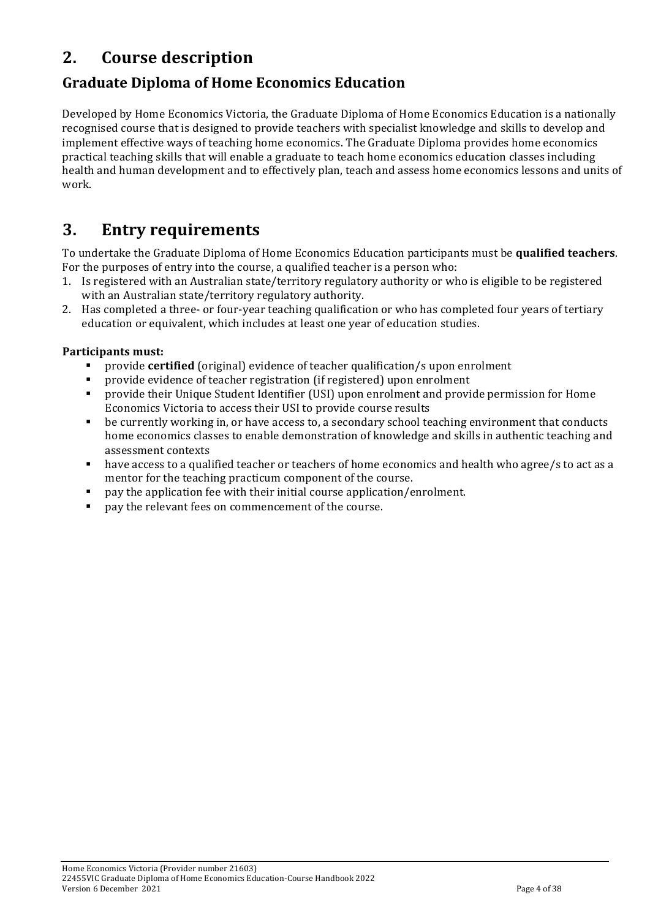## **2. Course'description**

### **Graduate'Diploma'of'Home'Economics'Education**

Developed by Home Economics Victoria, the Graduate Diploma of Home Economics Education is a nationally recognised course that is designed to provide teachers with specialist knowledge and skills to develop and implement effective ways of teaching home economics. The Graduate Diploma provides home economics practical teaching skills that will enable a graduate to teach home economics education classes including health and human development and to effectively plan, teach and assess home economics lessons and units of work.

## **3. Entry requirements**

To undertake the Graduate Diploma of Home Economics Education participants must be qualified teachers. For the purposes of entry into the course, a qualified teacher is a person who:

- 1. Is registered with an Australian state/territory regulatory authority or who is eligible to be registered with an Australian state/territory regulatory authority.
- 2. Has completed a three- or four-year teaching qualification or who has completed four years of tertiary education or equivalent, which includes at least one year of education studies.

### Participants must:

- provide **certified** (original) evidence of teacher qualification/s upon enrolment
- provide evidence of teacher registration (if registered) upon enrolment
- " provide their Unique Student Identifier (USI) upon enrolment and provide permission for Home Economics Victoria to access their USI to provide course results
- " be currently working in, or have access to, a secondary school teaching environment that conducts home economics classes to enable demonstration of knowledge and skills in authentic teaching and assessment contexts
- " have access to a qualified teacher or teachers of home economics and health who agree/s to act as a mentor for the teaching practicum component of the course.
- pay the application fee with their initial course application/enrolment.
- pay the relevant fees on commencement of the course.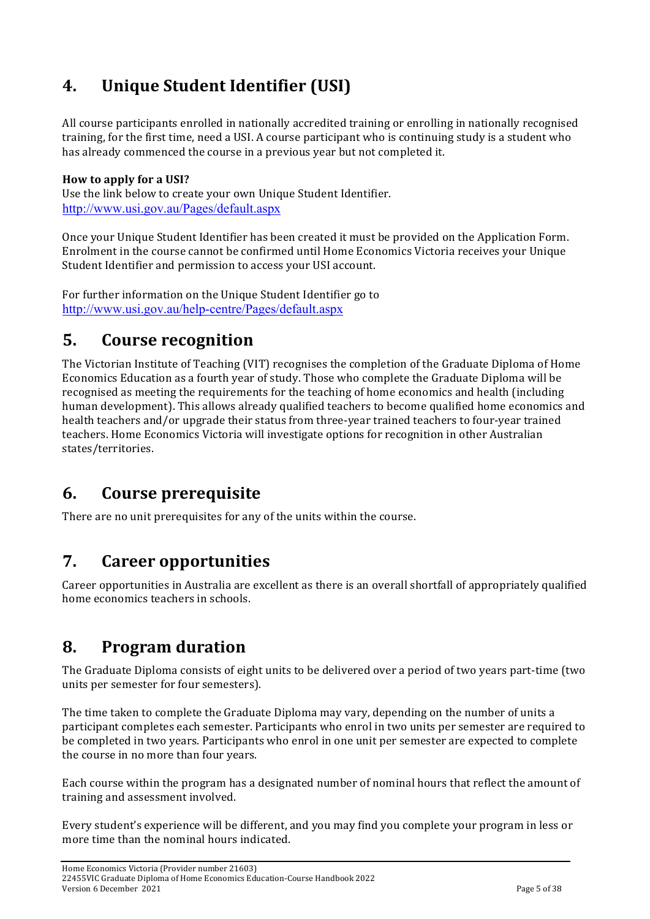# **4. Unique Student Identifier (USI)**

All course participants enrolled in nationally accredited training or enrolling in nationally recognised training, for the first time, need a USI. A course participant who is continuing study is a student who has already commenced the course in a previous year but not completed it.

### **How'to'apply'for a'USI?'**

Use the link below to create your own Unique Student Identifier. http://www.usi.gov.au/Pages/default.aspx

Once your Unique Student Identifier has been created it must be provided on the Application Form. Enrolment in the course cannot be confirmed until Home Economics Victoria receives your Unique Student Identifier and permission to access your USI account.

For further information on the Unique Student Identifier go to http://www.usi.gov.au/help-centre/Pages/default.aspx

### **5. Course recognition**

The Victorian Institute of Teaching (VIT) recognises the completion of the Graduate Diploma of Home Economics Education as a fourth year of study. Those who complete the Graduate Diploma will be recognised as meeting the requirements for the teaching of home economics and health (including) human development). This allows already qualified teachers to become qualified home economics and health teachers and/or upgrade their status from three-year trained teachers to four-year trained teachers. Home Economics Victoria will investigate options for recognition in other Australian states/territories.

## **6. Course'prerequisite**

There are no unit prerequisites for any of the units within the course.

## **7.** Career opportunities

Career opportunities in Australia are excellent as there is an overall shortfall of appropriately qualified home economics teachers in schools.

## **8. Program'duration'**

The Graduate Diploma consists of eight units to be delivered over a period of two years part-time (two units per semester for four semesters).

The time taken to complete the Graduate Diploma may vary, depending on the number of units a participant completes each semester. Participants who enrol in two units per semester are required to be completed in two years. Participants who enrol in one unit per semester are expected to complete the course in no more than four years.

Each course within the program has a designated number of nominal hours that reflect the amount of training and assessment involved.

Every student's experience will be different, and you may find you complete your program in less or more time than the nominal hours indicated.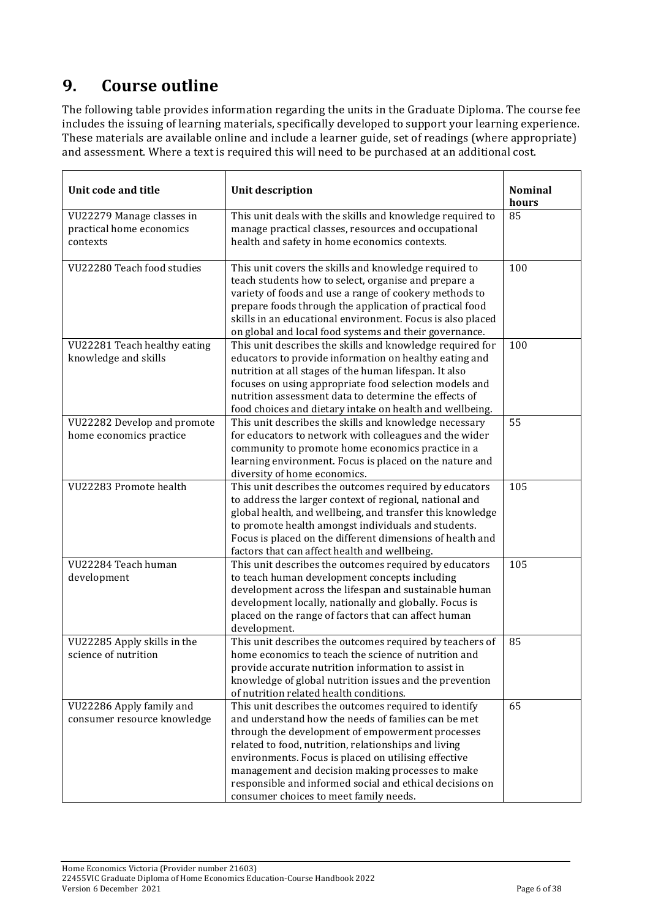# **9.** Course outline

The following table provides information regarding the units in the Graduate Diploma. The course fee includes the issuing of learning materials, specifically developed to support your learning experience. These materials are available online and include a learner guide, set of readings (where appropriate) and assessment. Where a text is required this will need to be purchased at an additional cost.

| Unit code and title                                               | <b>Unit description</b>                                                                                                                                                                                                                                                                                                                                                                                                                    | <b>Nominal</b><br>hours |
|-------------------------------------------------------------------|--------------------------------------------------------------------------------------------------------------------------------------------------------------------------------------------------------------------------------------------------------------------------------------------------------------------------------------------------------------------------------------------------------------------------------------------|-------------------------|
| VU22279 Manage classes in<br>practical home economics<br>contexts | This unit deals with the skills and knowledge required to<br>manage practical classes, resources and occupational<br>health and safety in home economics contexts.                                                                                                                                                                                                                                                                         | 85                      |
| VU22280 Teach food studies                                        | This unit covers the skills and knowledge required to<br>teach students how to select, organise and prepare a<br>variety of foods and use a range of cookery methods to<br>prepare foods through the application of practical food<br>skills in an educational environment. Focus is also placed<br>on global and local food systems and their governance.                                                                                 | 100                     |
| VU22281 Teach healthy eating<br>knowledge and skills              | This unit describes the skills and knowledge required for<br>educators to provide information on healthy eating and<br>nutrition at all stages of the human lifespan. It also<br>focuses on using appropriate food selection models and<br>nutrition assessment data to determine the effects of<br>food choices and dietary intake on health and wellbeing.                                                                               | 100                     |
| VU22282 Develop and promote<br>home economics practice            | This unit describes the skills and knowledge necessary<br>for educators to network with colleagues and the wider<br>community to promote home economics practice in a<br>learning environment. Focus is placed on the nature and<br>diversity of home economics.                                                                                                                                                                           | 55                      |
| VU22283 Promote health                                            | This unit describes the outcomes required by educators<br>to address the larger context of regional, national and<br>global health, and wellbeing, and transfer this knowledge<br>to promote health amongst individuals and students.<br>Focus is placed on the different dimensions of health and<br>factors that can affect health and wellbeing.                                                                                        | 105                     |
| VU22284 Teach human<br>development                                | This unit describes the outcomes required by educators<br>to teach human development concepts including<br>development across the lifespan and sustainable human<br>development locally, nationally and globally. Focus is<br>placed on the range of factors that can affect human<br>development.                                                                                                                                         | 105                     |
| VU22285 Apply skills in the<br>science of nutrition               | This unit describes the outcomes required by teachers of<br>home economics to teach the science of nutrition and<br>provide accurate nutrition information to assist in<br>knowledge of global nutrition issues and the prevention<br>of nutrition related health conditions.                                                                                                                                                              | 85                      |
| VU22286 Apply family and<br>consumer resource knowledge           | This unit describes the outcomes required to identify<br>and understand how the needs of families can be met<br>through the development of empowerment processes<br>related to food, nutrition, relationships and living<br>environments. Focus is placed on utilising effective<br>management and decision making processes to make<br>responsible and informed social and ethical decisions on<br>consumer choices to meet family needs. | 65                      |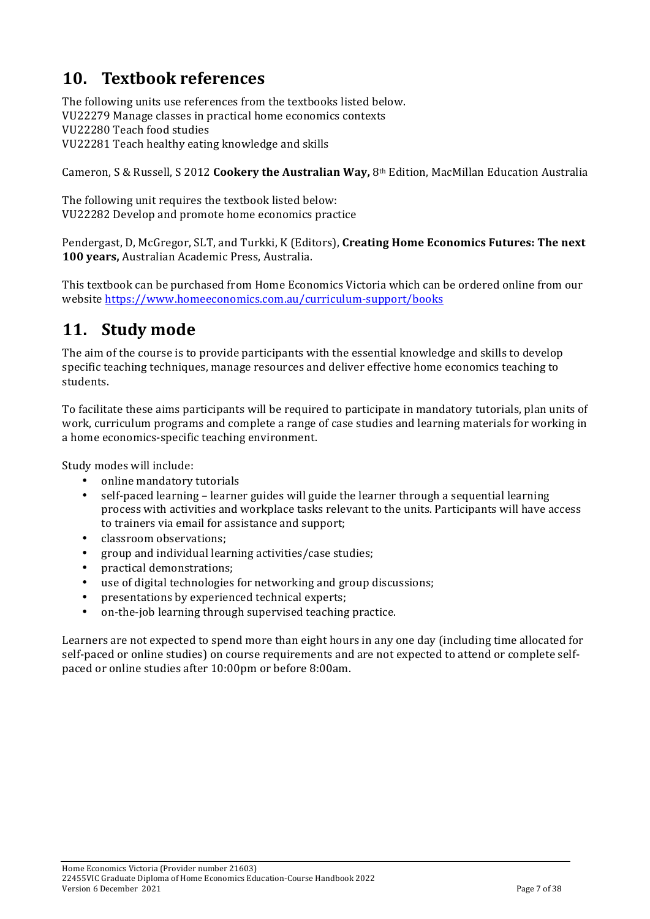## **10. Textbook references**

The following units use references from the textbooks listed below. VU22279 Manage classes in practical home economics contexts VU22280 Teach food studies VU22281 Teach healthy eating knowledge and skills

Cameron, S & Russell, S 2012 **Cookery the Australian Way,** 8<sup>th</sup> Edition, MacMillan Education Australia

The following unit requires the textbook listed below: VU22282 Develop and promote home economics practice

Pendergast,%D,%McGregor,%SLT,%and%Turkki,%K%(Editors),%**Creating'Home'Economics Futures:'The'next'** 100 years, Australian Academic Press, Australia.

This textbook can be purchased from Home Economics Victoria which can be ordered online from our website https://www.homeeconomics.com.au/curriculum-support/books

## 11. **Study** mode

The aim of the course is to provide participants with the essential knowledge and skills to develop specific teaching techniques, manage resources and deliver effective home economics teaching to students.

To facilitate these aims participants will be required to participate in mandatory tutorials, plan units of work, curriculum programs and complete a range of case studies and learning materials for working in a home economics-specific teaching environment.

Study modes will include:

- online mandatory tutorials
- self-paced learning learner guides will guide the learner through a sequential learning process with activities and workplace tasks relevant to the units. Participants will have access to trainers via email for assistance and support;
- classroom observations;
- group and individual learning activities/case studies;
- practical demonstrations;
- use of digital technologies for networking and group discussions;
- $\bullet$  presentations by experienced technical experts;
- $\bullet$  on-the-job learning through supervised teaching practice.

Learners are not expected to spend more than eight hours in any one day (including time allocated for self-paced or online studies) on course requirements and are not expected to attend or complete selfpaced or online studies after 10:00pm or before 8:00am.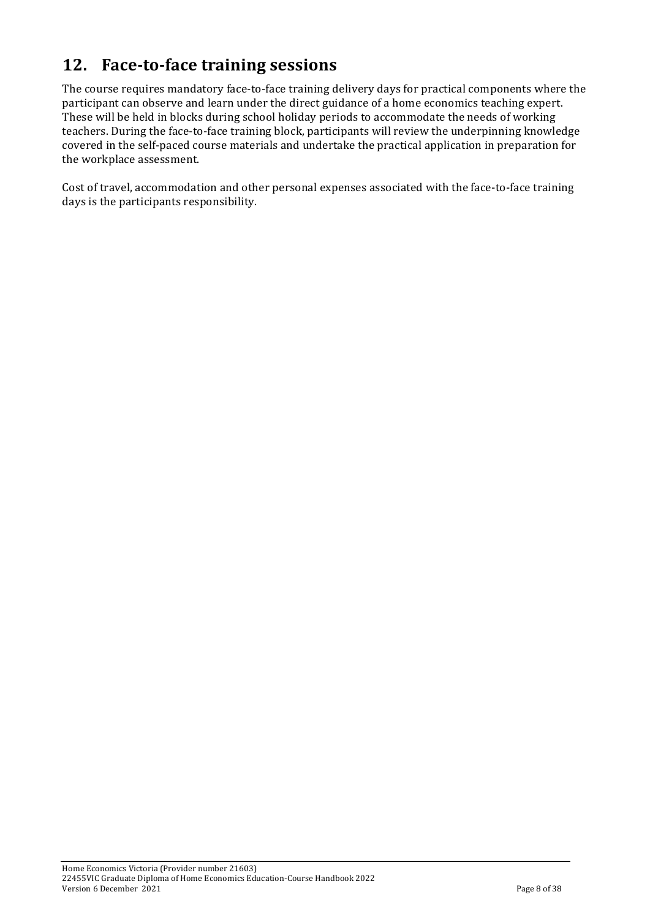## **12.** Face-to-face training sessions

The course requires mandatory face-to-face training delivery days for practical components where the participant can observe and learn under the direct guidance of a home economics teaching expert. These will be held in blocks during school holiday periods to accommodate the needs of working teachers. During the face-to-face training block, participants will review the underpinning knowledge covered in the self-paced course materials and undertake the practical application in preparation for the workplace assessment.

Cost of travel, accommodation and other personal expenses associated with the face-to-face training days is the participants responsibility.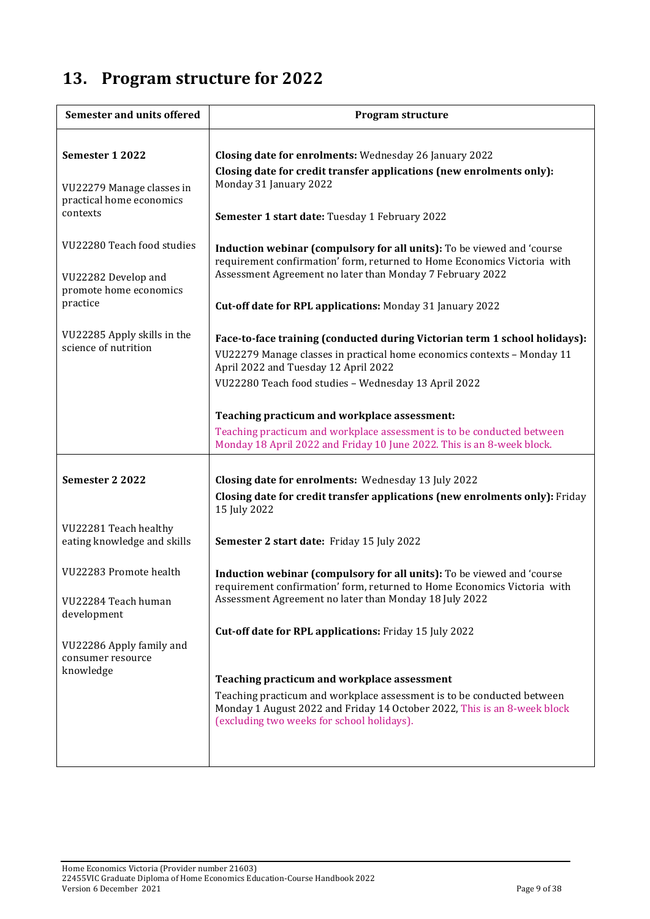# 13. Program structure for 2022

| <b>Semester and units offered</b>                                                       | Program structure                                                                                                                                                                                                                                                                                                                                                                                                                                         |
|-----------------------------------------------------------------------------------------|-----------------------------------------------------------------------------------------------------------------------------------------------------------------------------------------------------------------------------------------------------------------------------------------------------------------------------------------------------------------------------------------------------------------------------------------------------------|
| Semester 1 2022<br>VU22279 Manage classes in<br>practical home economics<br>contexts    | Closing date for enrolments: Wednesday 26 January 2022<br>Closing date for credit transfer applications (new enrolments only):<br>Monday 31 January 2022                                                                                                                                                                                                                                                                                                  |
| VU22280 Teach food studies<br>VU22282 Develop and<br>promote home economics<br>practice | Semester 1 start date: Tuesday 1 February 2022<br>Induction webinar (compulsory for all units): To be viewed and 'course<br>requirement confirmation' form, returned to Home Economics Victoria with<br>Assessment Agreement no later than Monday 7 February 2022<br>Cut-off date for RPL applications: Monday 31 January 2022                                                                                                                            |
| VU22285 Apply skills in the<br>science of nutrition                                     | Face-to-face training (conducted during Victorian term 1 school holidays):<br>VU22279 Manage classes in practical home economics contexts - Monday 11<br>April 2022 and Tuesday 12 April 2022<br>VU22280 Teach food studies - Wednesday 13 April 2022<br>Teaching practicum and workplace assessment:<br>Teaching practicum and workplace assessment is to be conducted between<br>Monday 18 April 2022 and Friday 10 June 2022. This is an 8-week block. |
| Semester 2 2022                                                                         | Closing date for enrolments: Wednesday 13 July 2022<br>Closing date for credit transfer applications (new enrolments only): Friday<br>15 July 2022                                                                                                                                                                                                                                                                                                        |
| VU22281 Teach healthy<br>eating knowledge and skills                                    | Semester 2 start date: Friday 15 July 2022                                                                                                                                                                                                                                                                                                                                                                                                                |
| VU22283 Promote health<br>VU22284 Teach human<br>development                            | Induction webinar (compulsory for all units): To be viewed and 'course<br>requirement confirmation' form, returned to Home Economics Victoria with<br>Assessment Agreement no later than Monday 18 July 2022<br>Cut-off date for RPL applications: Friday 15 July 2022                                                                                                                                                                                    |
| VU22286 Apply family and<br>consumer resource<br>knowledge                              | Teaching practicum and workplace assessment<br>Teaching practicum and workplace assessment is to be conducted between<br>Monday 1 August 2022 and Friday 14 October 2022, This is an 8-week block<br>(excluding two weeks for school holidays).                                                                                                                                                                                                           |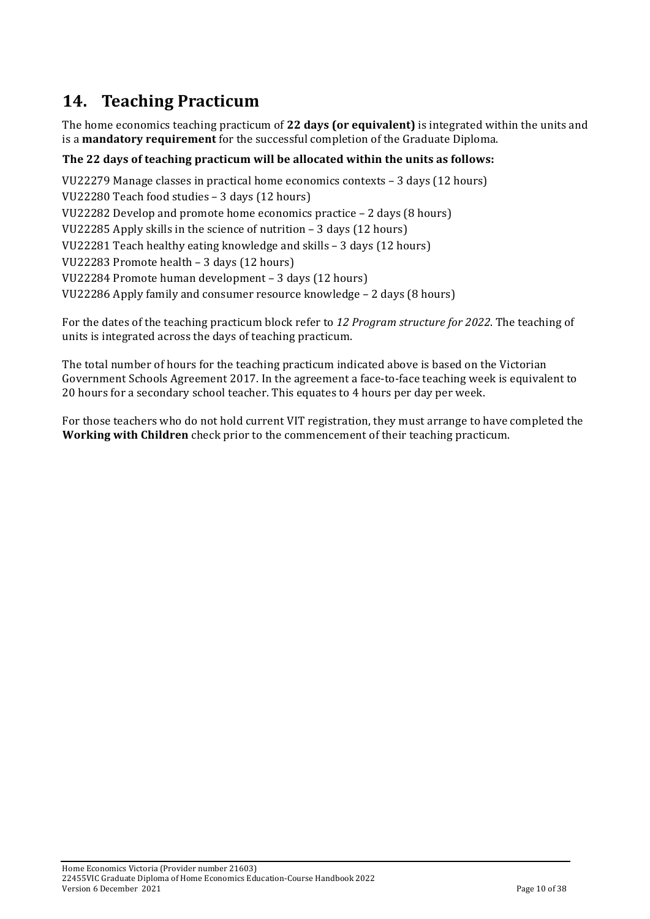# 14. **Teaching Practicum**

The home economics teaching practicum of 22 days (or equivalent) is integrated within the units and is a **mandatory requirement** for the successful completion of the Graduate Diploma.

### **The'22'days'of'teaching'practicum will'be'allocated'within'the'units'as'follows:**

VU22279 Manage classes in practical home economics contexts – 3 days (12 hours) VU22280 Teach food studies - 3 days (12 hours) VU22282 Develop and promote home economics practice – 2 days (8 hours) VU22285 Apply skills in the science of nutrition – 3 days (12 hours) VU22281 Teach healthy eating knowledge and skills – 3 days (12 hours) VU22283 Promote health – 3 days (12 hours) VU22284 Promote human development – 3 days (12 hours) VU22286 Apply family and consumer resource knowledge – 2 days (8 hours)

For the dates of the teaching practicum block refer to 12 Program structure for 2022. The teaching of units is integrated across the days of teaching practicum.

The total number of hours for the teaching practicum indicated above is based on the Victorian Government Schools Agreement 2017. In the agreement a face-to-face teaching week is equivalent to 20 hours for a secondary school teacher. This equates to 4 hours per day per week.

For those teachers who do not hold current VIT registration, they must arrange to have completed the **Working with Children** check prior to the commencement of their teaching practicum.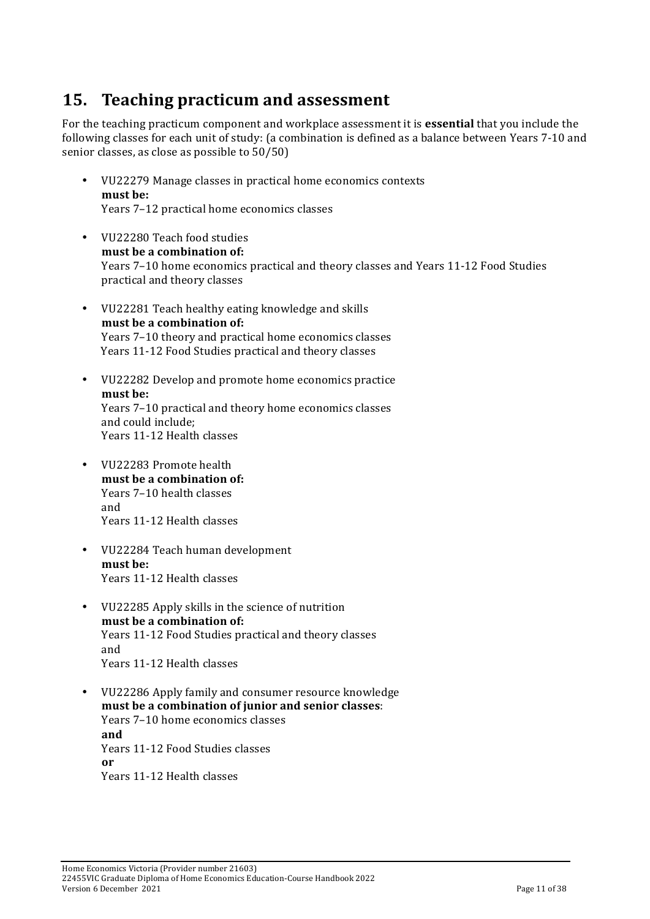## **15. Teaching practicum and\$assessment**

For the teaching practicum component and workplace assessment it is **essential** that you include the following classes for each unit of study: (a combination is defined as a balance between Years 7-10 and senior classes, as close as possible to  $50/50$ )

- VU22279 Manage classes in practical home economics contexts must be: Years 7–12 practical home economics classes
- VU22280 Teach food studies must be a combination of: Years 7–10 home economics practical and theory classes and Years 11-12 Food Studies practical and theory classes
- VU22281 Teach healthy eating knowledge and skills must be a combination of: Years 7–10 theory and practical home economics classes Years 11-12 Food Studies practical and theory classes
- VU22282 Develop and promote home economics practice must be: Years 7–10 practical and theory home economics classes and could include; Years 11-12 Health classes
- VU22283 Promote health must be a combination of: Years 7–10 health classes and Years 11-12 Health classes
- VU22284 Teach human development must be: Years 11-12 Health classes
- VU22285 Apply skills in the science of nutrition must be a combination of: Years 11-12 Food Studies practical and theory classes and Years 11-12 Health classes
- VU22286 Apply family and consumer resource knowledge **must'be'a'combination'of junior'and'senior'classes**: Years 7–10 home economics classes **and** Years 11-12 Food Studies classes **or** Years 11-12 Health classes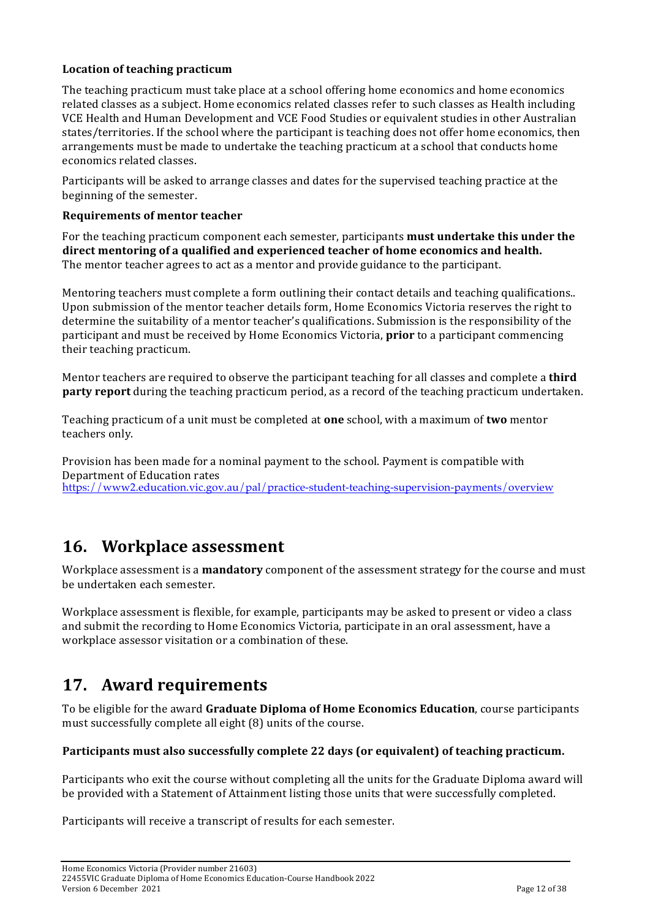### Location of teaching practicum

The teaching practicum must take place at a school offering home economics and home economics related classes as a subject. Home economics related classes refer to such classes as Health including VCE Health and Human Development and VCE Food Studies or equivalent studies in other Australian states/territories. If the school where the participant is teaching does not offer home economics, then arrangements must be made to undertake the teaching practicum at a school that conducts home economics related classes.

Participants will be asked to arrange classes and dates for the supervised teaching practice at the beginning of the semester.

#### **Requirements'of'mentor teacher**

For the teaching practicum component each semester, participants **must undertake this under the direct'mentoring'of'a'qualified and'experienced teacher'of'home'economics'and'health.** The mentor teacher agrees to act as a mentor and provide guidance to the participant.

Mentoring teachers must complete a form outlining their contact details and teaching qualifications.. Upon submission of the mentor teacher details form, Home Economics Victoria reserves the right to determine the suitability of a mentor teacher's qualifications. Submission is the responsibility of the participant and must be received by Home Economics Victoria, **prior** to a participant commencing their teaching practicum.

Mentor teachers are required to observe the participant teaching for all classes and complete a **third party report** during the teaching practicum period, as a record of the teaching practicum undertaken.

Teaching practicum of a unit must be completed at **one** school, with a maximum of **two** mentor teachers only.

Provision has been made for a nominal payment to the school. Payment is compatible with Department of Education rates https://www2.education.vic.gov.au/pal/practice-student-teaching-supervision-payments/overview

### **16. Workplace\*assessment**

Workplace assessment is a **mandatory** component of the assessment strategy for the course and must be undertaken each semester.

Workplace assessment is flexible, for example, participants may be asked to present or video a class and submit the recording to Home Economics Victoria, participate in an oral assessment, have a workplace assessor visitation or a combination of these.

## **17.** Award requirements

To be eligible for the award **Graduate Diploma of Home Economics Education**, course participants must successfully complete all eight (8) units of the course.

### Participants must also successfully complete 22 days (or equivalent) of teaching practicum.

Participants who exit the course without completing all the units for the Graduate Diploma award will be provided with a Statement of Attainment listing those units that were successfully completed.

Participants will receive a transcript of results for each semester.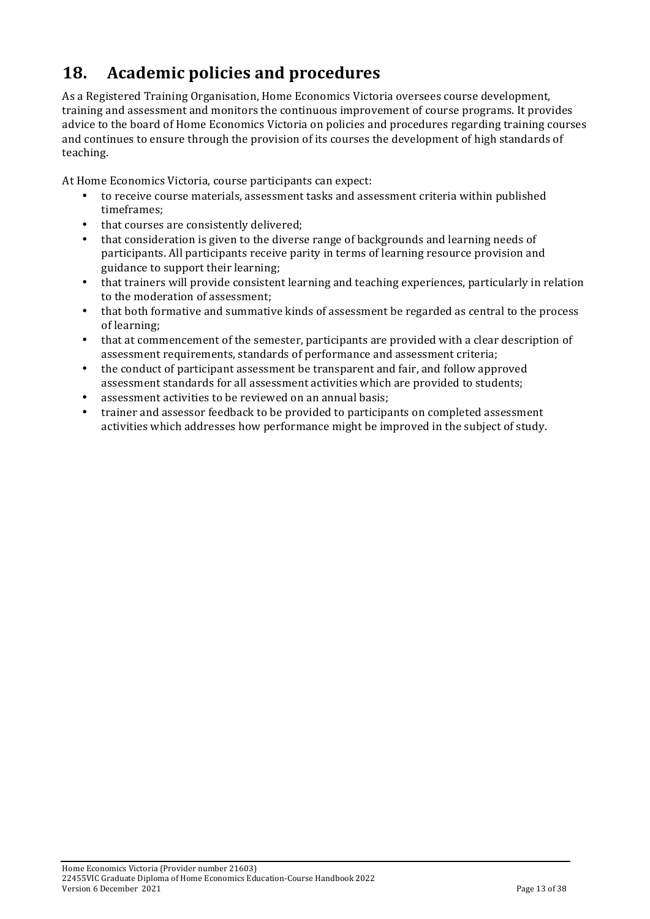# 18. Academic policies and procedures

As a Registered Training Organisation, Home Economics Victoria oversees course development, training and assessment and monitors the continuous improvement of course programs. It provides advice to the board of Home Economics Victoria on policies and procedures regarding training courses and continues to ensure through the provision of its courses the development of high standards of teaching.

At Home Economics Victoria, course participants can expect:

- to receive course materials, assessment tasks and assessment criteria within published timeframes;
- that courses are consistently delivered:
- that consideration is given to the diverse range of backgrounds and learning needs of participants. All participants receive parity in terms of learning resource provision and guidance to support their learning;
- that trainers will provide consistent learning and teaching experiences, particularly in relation to the moderation of assessment:
- that both formative and summative kinds of assessment be regarded as central to the process of learning:
- that at commencement of the semester, participants are provided with a clear description of assessment requirements, standards of performance and assessment criteria;
- the conduct of participant assessment be transparent and fair, and follow approved assessment standards for all assessment activities which are provided to students;
- assessment activities to be reviewed on an annual basis;
- trainer and assessor feedback to be provided to participants on completed assessment activities which addresses how performance might be improved in the subject of study.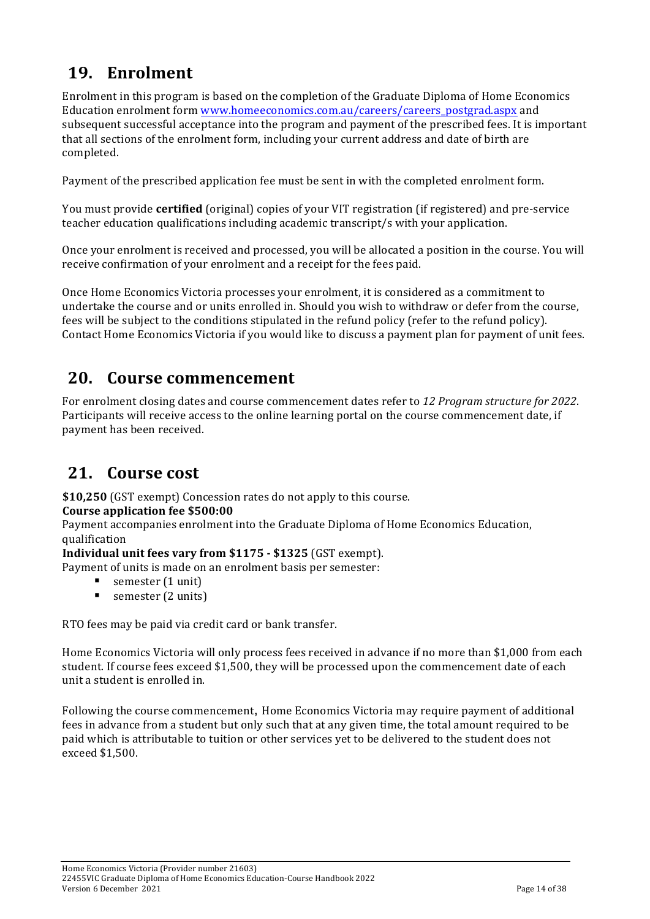# **19. Enrolment**

Enrolment in this program is based on the completion of the Graduate Diploma of Home Economics Education enrolment form www.homeeconomics.com.au/careers/careers\_postgrad.aspx and subsequent successful acceptance into the program and payment of the prescribed fees. It is important that all sections of the enrolment form, including your current address and date of birth are completed.

Payment of the prescribed application fee must be sent in with the completed enrolment form.

You must provide **certified** (original) copies of your VIT registration (if registered) and pre-service teacher education qualifications including academic transcript/s with your application.

Once your enrolment is received and processed, you will be allocated a position in the course. You will receive confirmation of your enrolment and a receipt for the fees paid.

Once Home Economics Victoria processes your enrolment, it is considered as a commitment to undertake the course and or units enrolled in. Should you wish to withdraw or defer from the course, fees will be subject to the conditions stipulated in the refund policy (refer to the refund policy). Contact Home Economics Victoria if you would like to discuss a payment plan for payment of unit fees.

### **20. Course'commencement**

For enrolment closing dates and course commencement dates refer to 12 Program structure for 2022. Participants will receive access to the online learning portal on the course commencement date, if payment has been received.

### 21. **Course cost**

**\$10,250** (GST exempt) Concession rates do not apply to this course.

### **Course'application'fee'\$500:00**

Payment accompanies enrolment into the Graduate Diploma of Home Economics Education, qualification

**Individual unit fees vary from \$1175**  $\cdot$  **\$1325 (GST exempt).** 

Payment of units is made on an enrolment basis per semester:

- semester (1 unit)
- $\blacksquare$  semester (2 units)

RTO fees may be paid via credit card or bank transfer.

Home Economics Victoria will only process fees received in advance if no more than \$1,000 from each student. If course fees exceed \$1,500, they will be processed upon the commencement date of each unit a student is enrolled in.

Following the course commencement, Home Economics Victoria may require payment of additional fees in advance from a student but only such that at any given time, the total amount required to be paid which is attributable to tuition or other services yet to be delivered to the student does not exceed \$1,500.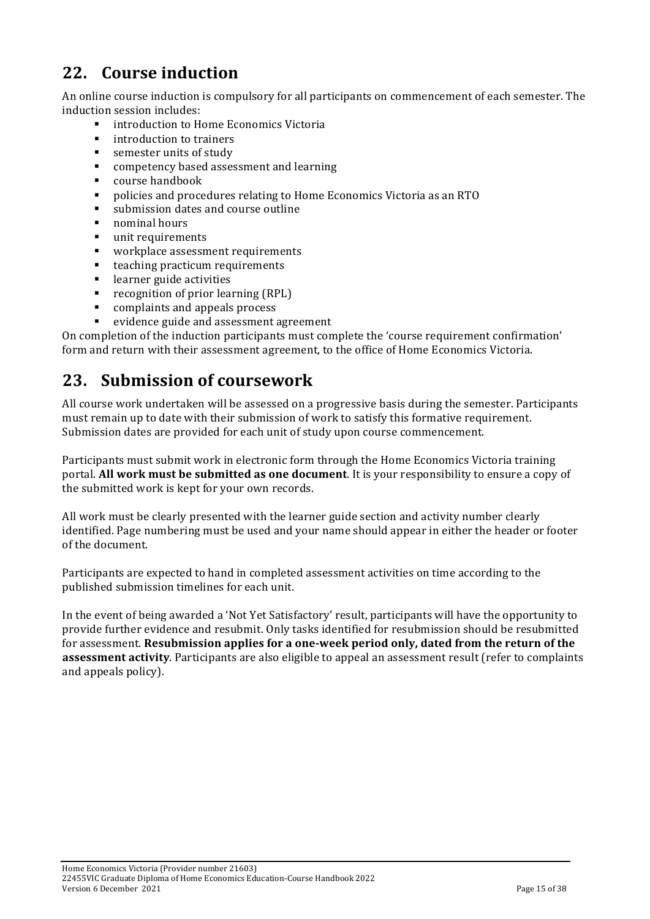## **22. Course'induction**

An online course induction is compulsory for all participants on commencement of each semester. The induction session includes:

- introduction to Home Economics Victoria
- introduction to trainers
- $\blacksquare$  semester units of study
- **EXECUTE:** competency based assessment and learning
- $\blacksquare$  course handbook
- $\blacksquare$  policies and procedures relating to Home Economics Victoria as an RTO
- submission dates and course outline
- $\blacksquare$  nominal hours
- $\blacksquare$  unit requirements
- workplace assessment requirements
- $\blacksquare$  teaching practicum requirements
- $\blacksquare$  learner guide activities
- " recognition of prior learning (RPL)
- $\blacksquare$  complaints and appeals process
- evidence guide and assessment agreement

On completion of the induction participants must complete the 'course requirement confirmation' form and return with their assessment agreement, to the office of Home Economics Victoria.

### **23.** Submission of coursework

All course work undertaken will be assessed on a progressive basis during the semester. Participants must remain up to date with their submission of work to satisfy this formative requirement. Submission dates are provided for each unit of study upon course commencement.

Participants must submit work in electronic form through the Home Economics Victoria training portal. **All work must be submitted as one document**. It is your responsibility to ensure a copy of the submitted work is kept for your own records.

All work must be clearly presented with the learner guide section and activity number clearly identified. Page numbering must be used and your name should appear in either the header or footer of the document.

Participants are expected to hand in completed assessment activities on time according to the published submission timelines for each unit.

In the event of being awarded a 'Not Yet Satisfactory' result, participants will have the opportunity to provide further evidence and resubmit. Only tasks identified for resubmission should be resubmitted for assessment. **Resubmission applies for a one-week period only, dated from the return of the assessment activity**. Participants are also eligible to appeal an assessment result (refer to complaints and appeals policy).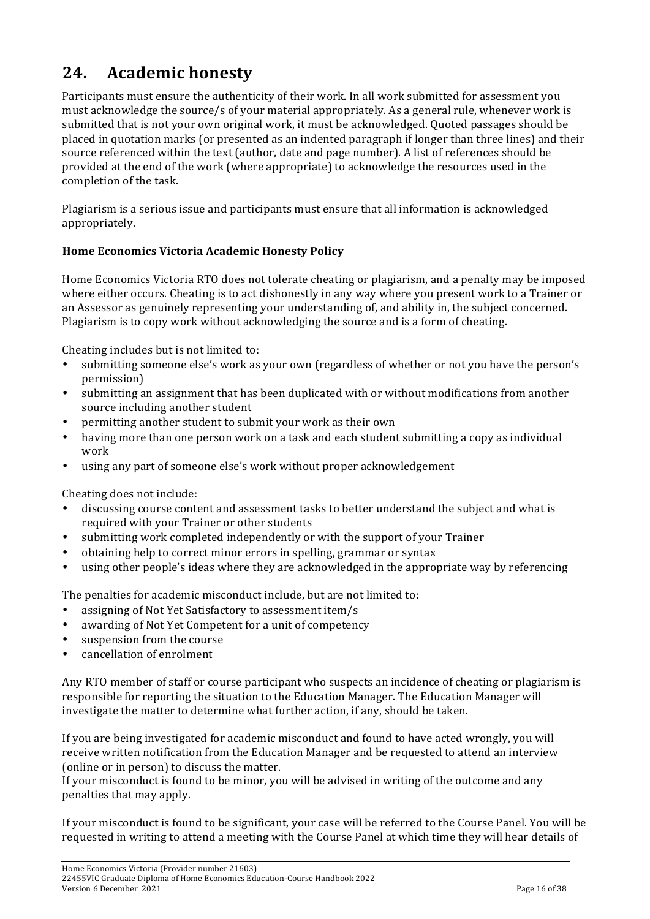## **24.** Academic honesty

Participants must ensure the authenticity of their work. In all work submitted for assessment you must acknowledge the source/s of your material appropriately. As a general rule, whenever work is submitted that is not your own original work, it must be acknowledged. Quoted passages should be placed in quotation marks (or presented as an indented paragraph if longer than three lines) and their source referenced within the text (author, date and page number). A list of references should be provided at the end of the work (where appropriate) to acknowledge the resources used in the completion of the task.

Plagiarism is a serious issue and participants must ensure that all information is acknowledged appropriately.

### **Home'Economics'Victoria'Academic'Honesty'Policy**

Home Economics Victoria RTO does not tolerate cheating or plagiarism, and a penalty may be imposed where either occurs. Cheating is to act dishonestly in any way where you present work to a Trainer or an Assessor as genuinely representing your understanding of, and ability in, the subject concerned. Plagiarism is to copy work without acknowledging the source and is a form of cheating.

Cheating includes but is not limited to:

- submitting someone else's work as your own (regardless of whether or not you have the person's permission)
- submitting an assignment that has been duplicated with or without modifications from another source including another student
- permitting another student to submit your work as their own
- having more than one person work on a task and each student submitting a copy as individual work
- using any part of someone else's work without proper acknowledgement

Cheating does not include:

- discussing course content and assessment tasks to better understand the subject and what is required with your Trainer or other students
- submitting work completed independently or with the support of your Trainer
- obtaining help to correct minor errors in spelling, grammar or syntax
- using other people's ideas where they are acknowledged in the appropriate way by referencing

The penalties for academic misconduct include, but are not limited to:

- assigning of Not Yet Satisfactory to assessment item/s
- awarding of Not Yet Competent for a unit of competency
- suspension from the course
- cancellation of enrolment

Any RTO member of staff or course participant who suspects an incidence of cheating or plagiarism is responsible for reporting the situation to the Education Manager. The Education Manager will investigate the matter to determine what further action, if any, should be taken.

If you are being investigated for academic misconduct and found to have acted wrongly, you will receive written notification from the Education Manager and be requested to attend an interview (online or in person) to discuss the matter.

If your misconduct is found to be minor, you will be advised in writing of the outcome and any penalties that may apply.

If your misconduct is found to be significant, your case will be referred to the Course Panel. You will be requested in writing to attend a meeting with the Course Panel at which time they will hear details of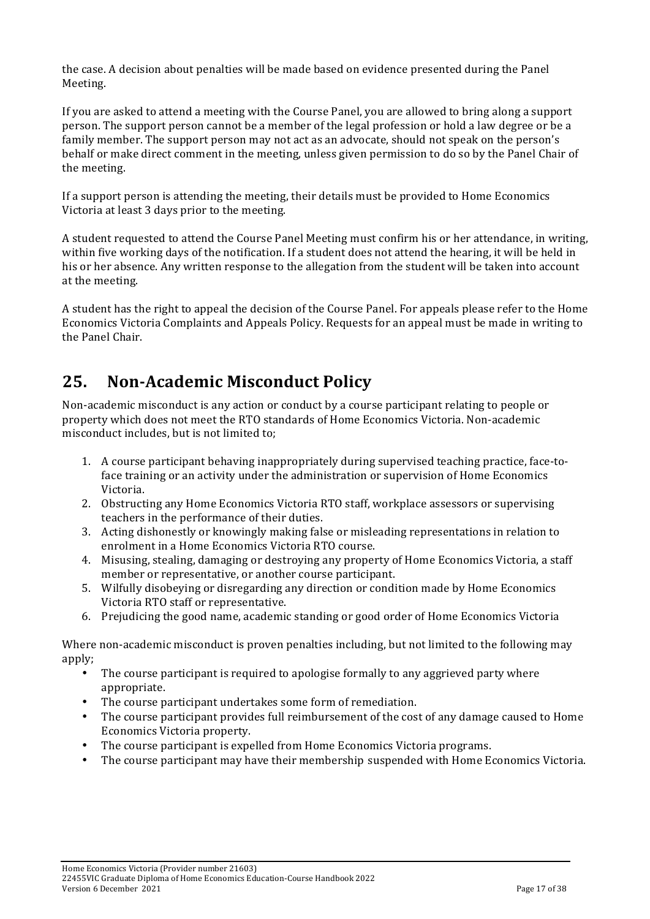the case. A decision about penalties will be made based on evidence presented during the Panel Meeting.

If you are asked to attend a meeting with the Course Panel, you are allowed to bring along a support person. The support person cannot be a member of the legal profession or hold a law degree or be a family member. The support person may not act as an advocate, should not speak on the person's behalf or make direct comment in the meeting, unless given permission to do so by the Panel Chair of the meeting.

If a support person is attending the meeting, their details must be provided to Home Economics Victoria at least 3 days prior to the meeting.

A student requested to attend the Course Panel Meeting must confirm his or her attendance, in writing, within five working days of the notification. If a student does not attend the hearing, it will be held in his or her absence. Any written response to the allegation from the student will be taken into account at the meeting.

A student has the right to appeal the decision of the Course Panel. For appeals please refer to the Home Economics Victoria Complaints and Appeals Policy. Requests for an appeal must be made in writing to the Panel Chair.

## **25.** Non-Academic Misconduct Policy

Non-academic misconduct is any action or conduct by a course participant relating to people or property which does not meet the RTO standards of Home Economics Victoria. Non-academic misconduct includes, but is not limited to;

- 1. A course participant behaving inappropriately during supervised teaching practice, face-toface training or an activity under the administration or supervision of Home Economics Victoria.
- 2. Obstructing any Home Economics Victoria RTO staff, workplace assessors or supervising teachers in the performance of their duties.
- 3. Acting dishonestly or knowingly making false or misleading representations in relation to enrolment in a Home Economics Victoria RTO course.
- 4. Misusing, stealing, damaging or destroving any property of Home Economics Victoria, a staff member or representative, or another course participant.
- 5. Wilfully disobeying or disregarding any direction or condition made by Home Economics Victoria RTO staff or representative.
- 6. Prejudicing the good name, academic standing or good order of Home Economics Victoria

Where non-academic misconduct is proven penalties including, but not limited to the following may apply;

- The course participant is required to apologise formally to any aggrieved party where appropriate.
- The course participant undertakes some form of remediation.
- The course participant provides full reimbursement of the cost of any damage caused to Home Economics Victoria property.
- The course participant is expelled from Home Economics Victoria programs.
- The course participant may have their membership suspended with Home Economics Victoria.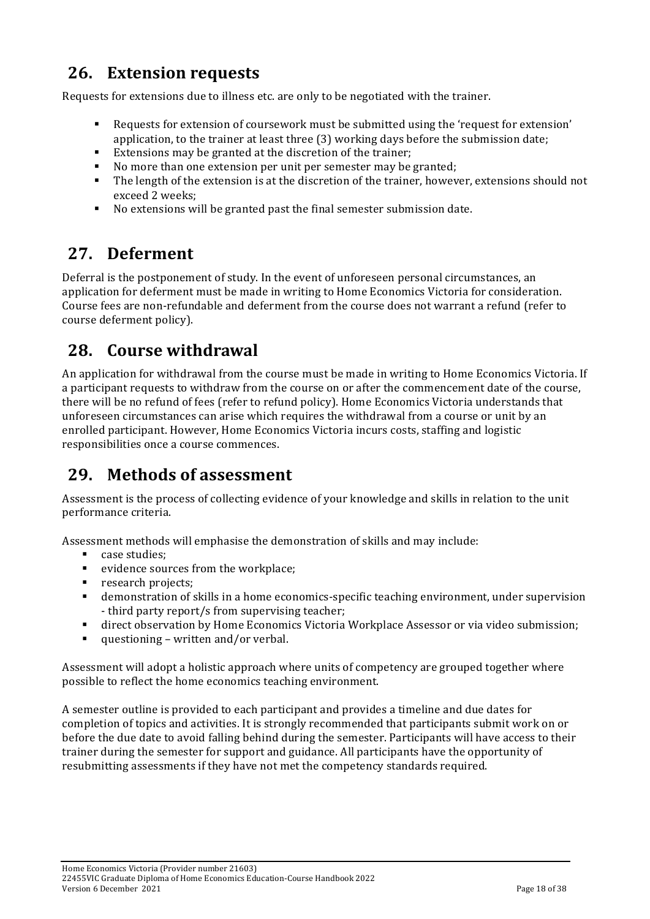## **26.** Extension requests

Requests for extensions due to illness etc. are only to be negotiated with the trainer.

- " Requests for extension of coursework must be submitted using the 'request for extension' application, to the trainer at least three (3) working days before the submission date;
- Extensions may be granted at the discretion of the trainer:
- $\blacksquare$  No more than one extension per unit per semester may be granted;
- The length of the extension is at the discretion of the trainer, however, extensions should not exceed 2 weeks;
- No extensions will be granted past the final semester submission date.

# **27. Deferment**

Deferral is the postponement of study. In the event of unforeseen personal circumstances, an application for deferment must be made in writing to Home Economics Victoria for consideration. Course fees are non-refundable and deferment from the course does not warrant a refund (refer to course deferment policy).

## **28. Course'withdrawal**

An application for withdrawal from the course must be made in writing to Home Economics Victoria. If a participant requests to withdraw from the course on or after the commencement date of the course, there will be no refund of fees (refer to refund policy). Home Economics Victoria understands that unforeseen circumstances can arise which requires the withdrawal from a course or unit by an enrolled participant. However, Home Economics Victoria incurs costs, staffing and logistic responsibilities once a course commences.

# **29. Methods of assessment**

Assessment is the process of collecting evidence of your knowledge and skills in relation to the unit performance criteria.

Assessment methods will emphasise the demonstration of skills and may include:

- case studies:
- $\blacksquare$  evidence sources from the workplace;
- **Peropene** research projects;
- $\blacksquare$  demonstration of skills in a home economics-specific teaching environment, under supervision - third party report/s from supervising teacher;
- " direct observation by Home Economics Victoria Workplace Assessor or via video submission;
- $\blacksquare$  questioning written and/or verbal.

Assessment will adopt a holistic approach where units of competency are grouped together where possible to reflect the home economics teaching environment.

A semester outline is provided to each participant and provides a timeline and due dates for completion of topics and activities. It is strongly recommended that participants submit work on or before the due date to avoid falling behind during the semester. Participants will have access to their trainer during the semester for support and guidance. All participants have the opportunity of resubmitting assessments if they have not met the competency standards required.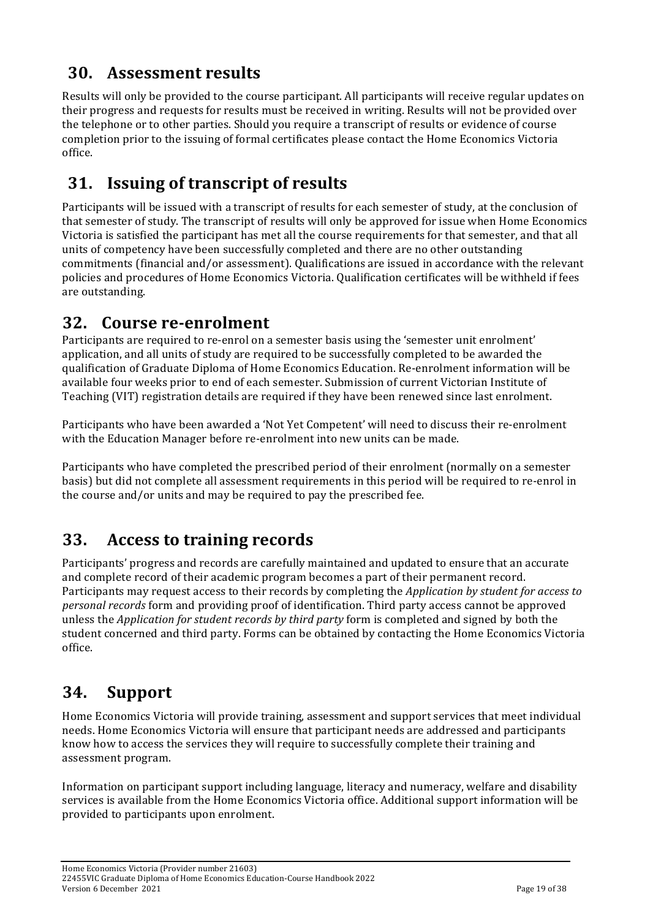## **30.** Assessment results

Results will only be provided to the course participant. All participants will receive regular updates on their progress and requests for results must be received in writing. Results will not be provided over the telephone or to other parties. Should you require a transcript of results or evidence of course completion prior to the issuing of formal certificates please contact the Home Economics Victoria office.

## **31. Issuing of transcript of results**

Participants will be issued with a transcript of results for each semester of study, at the conclusion of that semester of study. The transcript of results will only be approved for issue when Home Economics Victoria is satisfied the participant has met all the course requirements for that semester, and that all units of competency have been successfully completed and there are no other outstanding commitments (financial and/or assessment). Qualifications are issued in accordance with the relevant policies and procedures of Home Economics Victoria. Qualification certificates will be withheld if fees are outstanding.

### **32.** Course re-enrolment

Participants are required to re-enrol on a semester basis using the 'semester unit enrolment' application, and all units of study are required to be successfully completed to be awarded the qualification of Graduate Diploma of Home Economics Education. Re-enrolment information will be available four weeks prior to end of each semester. Submission of current Victorian Institute of Teaching (VIT) registration details are required if they have been renewed since last enrolment.

Participants who have been awarded a 'Not Yet Competent' will need to discuss their re-enrolment with the Education Manager before re-enrolment into new units can be made.

Participants who have completed the prescribed period of their enrolment (normally on a semester basis) but did not complete all assessment requirements in this period will be required to re-enrol in the course and/or units and may be required to pay the prescribed fee.

## **33.** Access to training records

Participants' progress and records are carefully maintained and updated to ensure that an accurate and complete record of their academic program becomes a part of their permanent record. Participants may request access to their records by completing the *Application by student for access to personal records* form and providing proof of identification. Third party access cannot be approved unless the *Application for student records by third party* form is completed and signed by both the student concerned and third party. Forms can be obtained by contacting the Home Economics Victoria office.

## **34. Support**

Home Economics Victoria will provide training, assessment and support services that meet individual needs. Home Economics Victoria will ensure that participant needs are addressed and participants know how to access the services they will require to successfully complete their training and assessment program.

Information on participant support including language, literacy and numeracy, welfare and disability services is available from the Home Economics Victoria office. Additional support information will be provided to participants upon enrolment.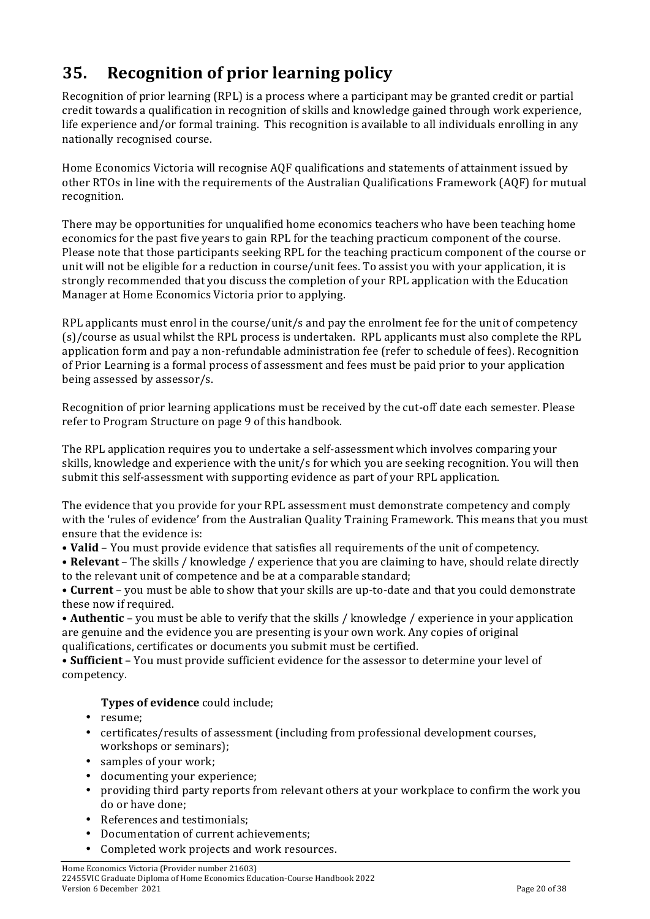# **35. Recognition)of)prior)learning policy**

Recognition of prior learning (RPL) is a process where a participant may be granted credit or partial credit towards a qualification in recognition of skills and knowledge gained through work experience, life experience and/or formal training. This recognition is available to all individuals enrolling in any nationally recognised course.

Home Economics Victoria will recognise AQF qualifications and statements of attainment issued by other RTOs in line with the requirements of the Australian Qualifications Framework (AQF) for mutual recognition.

There may be opportunities for unqualified home economics teachers who have been teaching home economics for the past five years to gain RPL for the teaching practicum component of the course. Please note that those participants seeking RPL for the teaching practicum component of the course or unit will not be eligible for a reduction in course/unit fees. To assist you with your application, it is strongly recommended that you discuss the completion of your RPL application with the Education Manager at Home Economics Victoria prior to applying.

RPL applicants must enrol in the course/unit/s and pay the enrolment fee for the unit of competency  $(s)/c$ ourse as usual whilst the RPL process is undertaken. RPL applicants must also complete the RPL application form and pay a non-refundable administration fee (refer to schedule of fees). Recognition of Prior Learning is a formal process of assessment and fees must be paid prior to your application being assessed by assessor/s.

Recognition of prior learning applications must be received by the cut-off date each semester. Please refer to Program Structure on page 9 of this handbook.

The RPL application requires you to undertake a self-assessment which involves comparing your skills, knowledge and experience with the unit/s for which you are seeking recognition. You will then submit this self-assessment with supporting evidence as part of your RPL application.

The evidence that you provide for your RPL assessment must demonstrate competency and comply with the 'rules of evidence' from the Australian Quality Training Framework. This means that you must ensure that the evidence is:

• **Valid** – You must provide evidence that satisfies all requirements of the unit of competency.

• Relevant – The skills / knowledge / experience that you are claiming to have, should relate directly to the relevant unit of competence and be at a comparable standard;

• **Current** – you must be able to show that your skills are up-to-date and that you could demonstrate these now if required.

• **Authentic** – you must be able to verify that the skills / knowledge / experience in your application are genuine and the evidence you are presenting is your own work. Any copies of original qualifications, certificates or documents you submit must be certified.

• **Sufficient** – You must provide sufficient evidence for the assessor to determine your level of competency.

### **Types of evidence** could include;

- resume;
- certificates/results of assessment (including from professional development courses, workshops or seminars);
- $\bullet$  samples of your work;
- documenting your experience;
- providing third party reports from relevant others at your workplace to confirm the work you do or have done:
- References and testimonials:
- Documentation of current achievements;
- Completed work projects and work resources.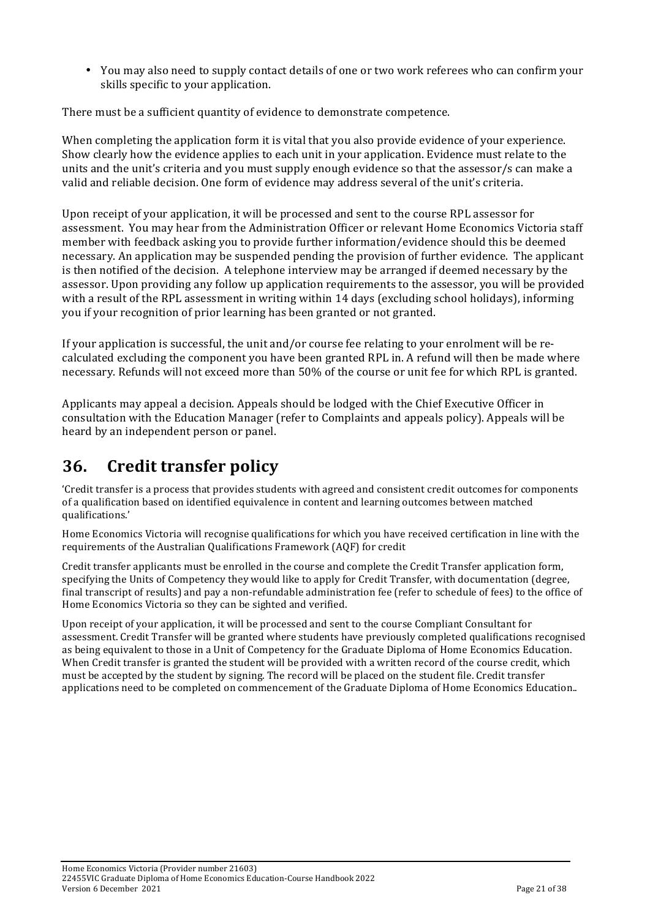• You may also need to supply contact details of one or two work referees who can confirm your skills specific to your application.

There must be a sufficient quantity of evidence to demonstrate competence.

When completing the application form it is vital that you also provide evidence of your experience. Show clearly how the evidence applies to each unit in your application. Evidence must relate to the units and the unit's criteria and you must supply enough evidence so that the assessor/s can make a valid and reliable decision. One form of evidence may address several of the unit's criteria.

Upon receipt of your application, it will be processed and sent to the course RPL assessor for assessment. You may hear from the Administration Officer or relevant Home Economics Victoria staff member with feedback asking you to provide further information/evidence should this be deemed necessary. An application may be suspended pending the provision of further evidence. The applicant is then notified of the decision. A telephone interview may be arranged if deemed necessary by the assessor. Upon providing any follow up application requirements to the assessor, you will be provided with a result of the RPL assessment in writing within 14 days (excluding school holidays), informing you if your recognition of prior learning has been granted or not granted.

If your application is successful, the unit and/or course fee relating to your enrolment will be recalculated excluding the component you have been granted RPL in. A refund will then be made where necessary. Refunds will not exceed more than 50% of the course or unit fee for which RPL is granted.

Applicants may appeal a decision. Appeals should be lodged with the Chief Executive Officer in consultation with the Education Manager (refer to Complaints and appeals policy). Appeals will be heard by an independent person or panel.

## **36. Credit'transfer policy**

'Credit transfer is a process that provides students with agreed and consistent credit outcomes for components of a qualification based on identified equivalence in content and learning outcomes between matched qualifications.'

Home Economics Victoria will recognise qualifications for which you have received certification in line with the requirements of the Australian Qualifications Framework (AQF) for credit

Credit transfer applicants must be enrolled in the course and complete the Credit Transfer application form, specifying the Units of Competency they would like to apply for Credit Transfer, with documentation (degree, final transcript of results) and pay a non-refundable administration fee (refer to schedule of fees) to the office of Home Economics Victoria so they can be sighted and verified.

Upon receipt of your application, it will be processed and sent to the course Compliant Consultant for assessment. Credit Transfer will be granted where students have previously completed qualifications recognised as being equivalent to those in a Unit of Competency for the Graduate Diploma of Home Economics Education. When Credit transfer is granted the student will be provided with a written record of the course credit, which must be accepted by the student by signing. The record will be placed on the student file. Credit transfer applications need to be completed on commencement of the Graduate Diploma of Home Economics Education..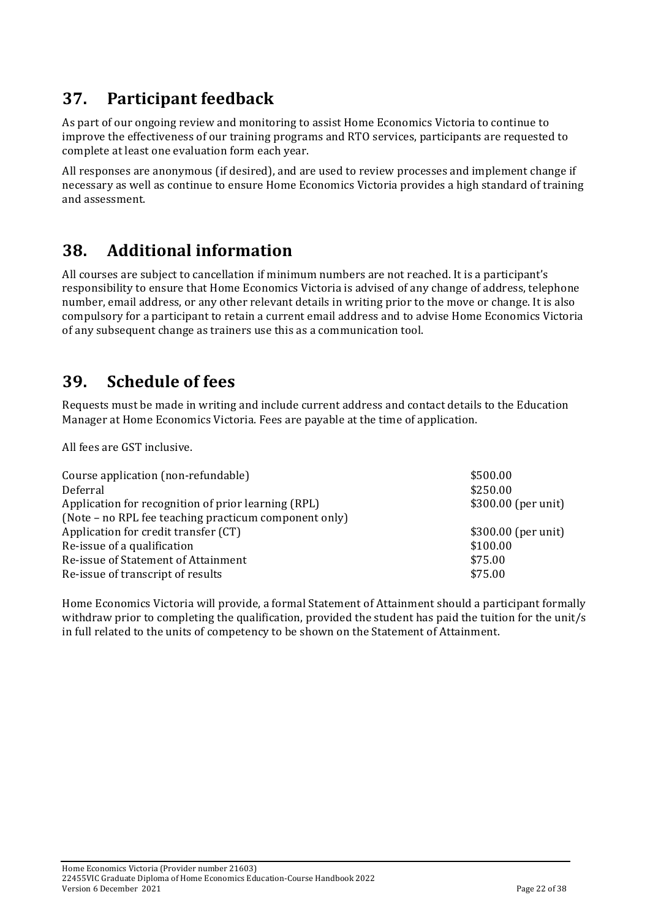## **37.** Participant feedback

As part of our ongoing review and monitoring to assist Home Economics Victoria to continue to improve the effectiveness of our training programs and RTO services, participants are requested to complete at least one evaluation form each year.

All responses are anonymous (if desired), and are used to review processes and implement change if necessary as well as continue to ensure Home Economics Victoria provides a high standard of training and assessment.

### **38. Additional)information**

All courses are subject to cancellation if minimum numbers are not reached. It is a participant's responsibility to ensure that Home Economics Victoria is advised of any change of address, telephone number, email address, or any other relevant details in writing prior to the move or change. It is also compulsory for a participant to retain a current email address and to advise Home Economics Victoria of any subsequent change as trainers use this as a communication tool.

## **39. Schedule of fees**

Requests must be made in writing and include current address and contact details to the Education Manager at Home Economics Victoria. Fees are payable at the time of application.

All fees are GST inclusive.

| Course application (non-refundable)<br>Deferral<br>Application for recognition of prior learning (RPL)<br>(Note - no RPL fee teaching practicum component only) | \$500.00<br>\$250.00<br>$$300.00$ (per unit) |
|-----------------------------------------------------------------------------------------------------------------------------------------------------------------|----------------------------------------------|
| Application for credit transfer (CT)                                                                                                                            | \$300.00 (per unit)                          |
| Re-issue of a qualification                                                                                                                                     | \$100.00                                     |
| Re-issue of Statement of Attainment                                                                                                                             | \$75.00                                      |
| Re-issue of transcript of results                                                                                                                               | \$75.00                                      |

Home Economics Victoria will provide, a formal Statement of Attainment should a participant formally withdraw prior to completing the qualification, provided the student has paid the tuition for the unit/s in full related to the units of competency to be shown on the Statement of Attainment.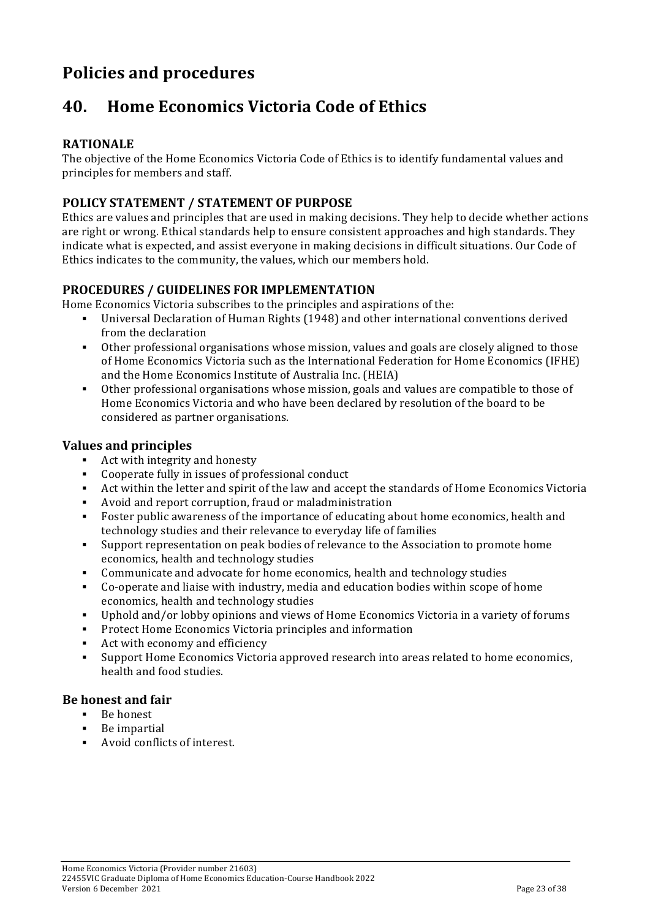# **Policies'and'procedures**

## **40. Home Economics Victoria Code of Ethics**

### **RATIONALE'**

The objective of the Home Economics Victoria Code of Ethics is to identify fundamental values and principles for members and staff.

### POLICY STATEMENT / STATEMENT OF PURPOSE

Ethics are values and principles that are used in making decisions. They help to decide whether actions are right or wrong. Ethical standards help to ensure consistent approaches and high standards. They indicate what is expected, and assist everyone in making decisions in difficult situations. Our Code of Ethics indicates to the community, the values, which our members hold.

### PROCEDURES / GUIDELINES FOR IMPLEMENTATION

Home Economics Victoria subscribes to the principles and aspirations of the:

- Universal Declaration of Human Rights (1948) and other international conventions derived from the declaration
- " Other professional organisations whose mission, values and goals are closely aligned to those of Home Economics Victoria such as the International Federation for Home Economics (IFHE) and the Home Economics Institute of Australia Inc. (HEIA)
- " Other professional organisations whose mission, goals and values are compatible to those of Home Economics Victoria and who have been declared by resolution of the board to be considered as partner organisations.

### **Values'and'principles'**

- $\blacksquare$  Act with integrity and honesty
- $\blacksquare$  Cooperate fully in issues of professional conduct
- " Act within the letter and spirit of the law and accept the standards of Home Economics Victoria
- Avoid and report corruption, fraud or maladministration
- " Foster public awareness of the importance of educating about home economics, health and technology studies and their relevance to everyday life of families
- . Support representation on peak bodies of relevance to the Association to promote home economics, health and technology studies
- . Communicate and advocate for home economics, health and technology studies
- " Co-operate and liaise with industry, media and education bodies within scope of home economics, health and technology studies
- " Uphold and/or lobby opinions and views of Home Economics Victoria in a variety of forums
- **EXECONOMICS** Victoria principles and information
- $\blacksquare$  Act with economy and efficiency
- ! Support%Home%Economics%Victoria%approved%research%into%areas%related%to%home%economics,% health and food studies.

### **Be'honest'and'fair**

- $\blacksquare$  Be honest
- $\blacksquare$  Be impartial
- $\blacksquare$  Avoid conflicts of interest.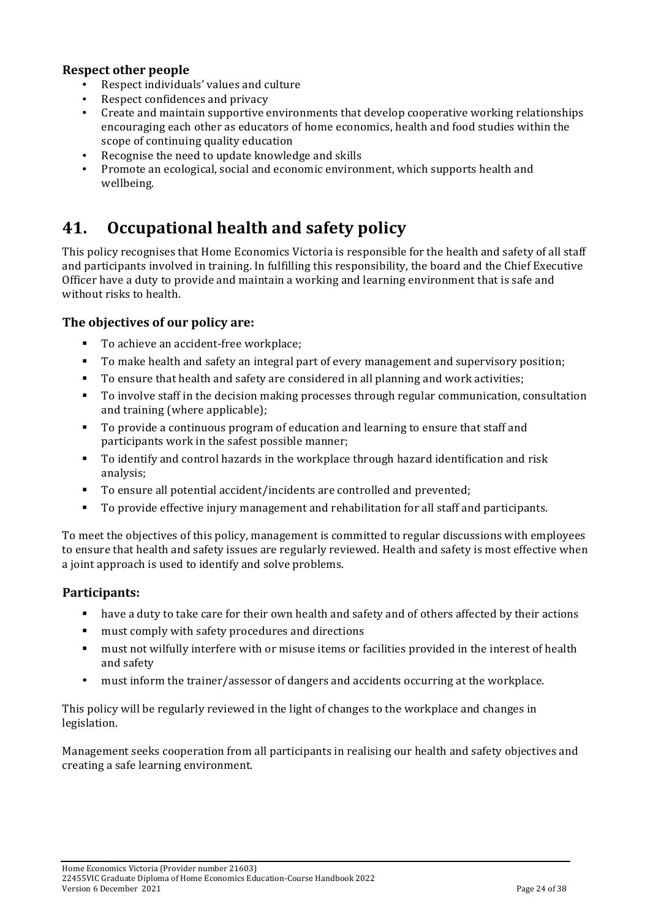### **Respect'other'people'**

- Respect individuals' values and culture
- Respect confidences and privacy
- Create and maintain supportive environments that develop cooperative working relationships encouraging each other as educators of home economics, health and food studies within the scope of continuing quality education
- Recognise the need to update knowledge and skills
- Promote an ecological, social and economic environment, which supports health and wellbeing.

## **41.** Occupational health and safety policy

This policy recognises that Home Economics Victoria is responsible for the health and safety of all staff and participants involved in training. In fulfilling this responsibility, the board and the Chief Executive Officer have a duty to provide and maintain a working and learning environment that is safe and without risks to health.

### The objectives of our policy are:

- To achieve an accident-free workplace;
- " To make health and safety an integral part of every management and supervisory position;
- " To ensure that health and safety are considered in all planning and work activities;
- " To involve staff in the decision making processes through regular communication, consultation and training (where applicable);
- " To provide a continuous program of education and learning to ensure that staff and participants work in the safest possible manner;
- " To identify and control hazards in the workplace through hazard identification and risk analysis;
- " To ensure all potential accident/incidents are controlled and prevented;
- " To provide effective injury management and rehabilitation for all staff and participants.

To meet the objectives of this policy, management is committed to regular discussions with employees to ensure that health and safety issues are regularly reviewed. Health and safety is most effective when a joint approach is used to identify and solve problems.

### **Participants:**

- " have a duty to take care for their own health and safety and of others affected by their actions
- must comply with safety procedures and directions
- " must not wilfully interfere with or misuse items or facilities provided in the interest of health and safety
- must inform the trainer/assessor of dangers and accidents occurring at the workplace.

This policy will be regularly reviewed in the light of changes to the workplace and changes in legislation.

Management seeks cooperation from all participants in realising our health and safety objectives and creating a safe learning environment.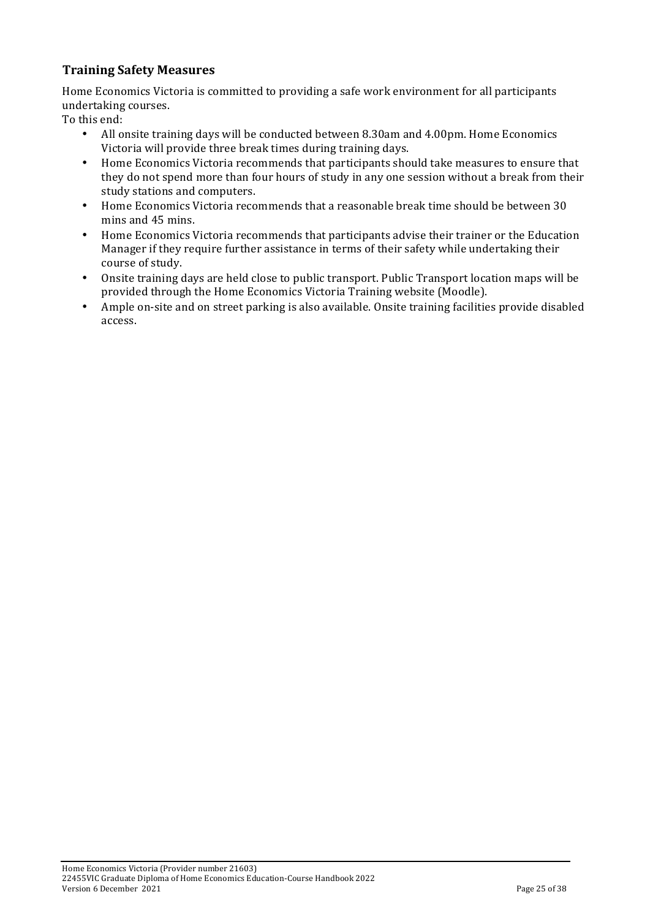### **Training'Safety'Measures**

Home Economics Victoria is committed to providing a safe work environment for all participants undertaking courses.

To this end:

- All onsite training days will be conducted between 8.30am and 4.00pm. Home Economics Victoria will provide three break times during training days.
- Home Economics Victoria recommends that participants should take measures to ensure that they do not spend more than four hours of study in any one session without a break from their study stations and computers.
- Home Economics Victoria recommends that a reasonable break time should be between 30 mins and 45 mins.
- Home Economics Victoria recommends that participants advise their trainer or the Education Manager if they require further assistance in terms of their safety while undertaking their course of study.
- Onsite training days are held close to public transport. Public Transport location maps will be provided through the Home Economics Victoria Training website (Moodle).
- Ample on-site and on street parking is also available. Onsite training facilities provide disabled access.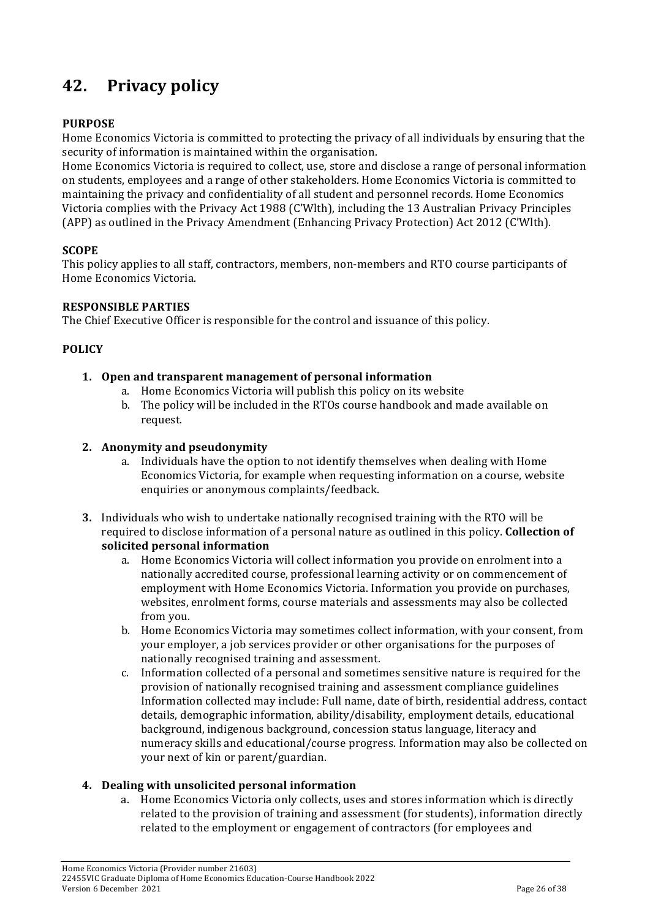# **42. Privacy(policy**

### **PURPOSE**

Home Economics Victoria is committed to protecting the privacy of all individuals by ensuring that the security of information is maintained within the organisation.

Home Economics Victoria is required to collect, use, store and disclose a range of personal information on students, employees and a range of other stakeholders. Home Economics Victoria is committed to maintaining the privacy and confidentiality of all student and personnel records. Home Economics Victoria complies with the Privacy Act 1988 (C'Wlth), including the 13 Australian Privacy Principles (APP) as outlined in the Privacy Amendment (Enhancing Privacy Protection) Act 2012 (C'Wlth).

### **SCOPE**

This policy applies to all staff, contractors, members, non-members and RTO course participants of Home Economics Victoria.

### **RESPONSIBLE'PARTIES**

The Chief Executive Officer is responsible for the control and issuance of this policy.

### **POLICY'**

#### **1. Open'and'transparent'management'of'personal'information**

- a. Home Economics Victoria will publish this policy on its website
- b. The policy will be included in the RTOs course handbook and made available on request.

#### **2. Anonymity'and'pseudonymity**

- a. Individuals have the option to not identify themselves when dealing with Home Economics Victoria, for example when requesting information on a course, website enquiries or anonymous complaints/feedback.
- **3.** Individuals who wish to undertake nationally recognised training with the RTO will be required to disclose information of a personal nature as outlined in this policy. **Collection of solicited'personal'information'**
	- a. Home Economics Victoria will collect information you provide on enrolment into a nationally accredited course, professional learning activity or on commencement of employment with Home Economics Victoria. Information you provide on purchases, websites, enrolment forms, course materials and assessments may also be collected from you.
	- b. Home Economics Victoria may sometimes collect information, with your consent, from your employer, a job services provider or other organisations for the purposes of nationally recognised training and assessment.
	- c. Information collected of a personal and sometimes sensitive nature is required for the provision of nationally recognised training and assessment compliance guidelines Information collected may include: Full name, date of birth, residential address, contact details, demographic information, ability/disability, employment details, educational background, indigenous background, concession status language, literacy and numeracy skills and educational/course progress. Information may also be collected on your next of kin or parent/guardian.

### **4. Dealing'with'unsolicited'personal'information**

a. Home Economics Victoria only collects, uses and stores information which is directly related to the provision of training and assessment (for students), information directly related to the employment or engagement of contractors (for employees and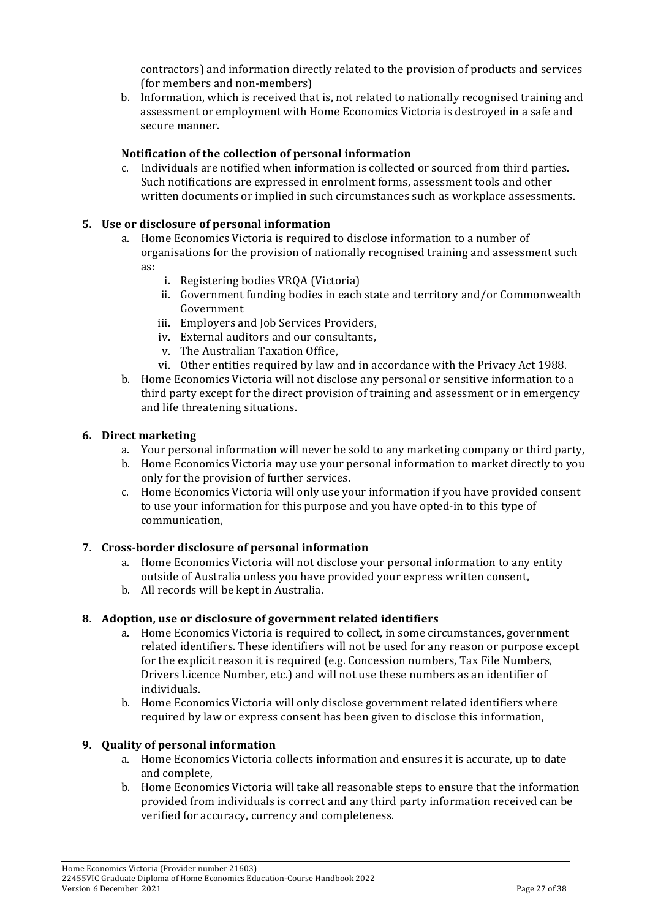contractors) and information directly related to the provision of products and services (for members and non-members)

b. Information, which is received that is, not related to nationally recognised training and assessment or employment with Home Economics Victoria is destroyed in a safe and secure manner.

### **Notification'of'the'collection'of'personal'information**

c. Individuals are notified when information is collected or sourced from third parties. Such notifications are expressed in enrolment forms, assessment tools and other written documents or implied in such circumstances such as workplace assessments.

### **5. Use'or'disclosure'of'personal'information**

- a. Home Economics Victoria is required to disclose information to a number of organisations for the provision of nationally recognised training and assessment such as:
	- i. Registering bodies VRQA (Victoria)
	- ii. Government funding bodies in each state and territory and/or Commonwealth Government
	- iii. Employers and Job Services Providers,
	- iv. External auditors and our consultants,
	- v. The Australian Taxation Office,
	- vi. Other entities required by law and in accordance with the Privacy Act 1988.
- b. Home Economics Victoria will not disclose any personal or sensitive information to a third party except for the direct provision of training and assessment or in emergency and life threatening situations.

### **6. Direct'marketing'**

- a. Your personal information will never be sold to any marketing company or third party,
- b. Home Economics Victoria may use your personal information to market directly to you only for the provision of further services.
- c. Home Economics Victoria will only use your information if you have provided consent to use your information for this purpose and you have opted-in to this type of communication,

### **7.** Cross-border disclosure of personal information

- a. Home Economics Victoria will not disclose your personal information to any entity outside of Australia unless you have provided your express written consent,
- b. All records will be kept in Australia.

### **8. Adoption,'use'or'disclosure'of'government'related'identifiers**

- a. Home Economics Victoria is required to collect, in some circumstances, government related identifiers. These identifiers will not be used for any reason or purpose except for the explicit reason it is required (e.g. Concession numbers, Tax File Numbers, Drivers Licence Number, etc.) and will not use these numbers as an identifier of individuals.
- b. Home Economics Victoria will only disclose government related identifiers where required by law or express consent has been given to disclose this information,

### **9. Quality of personal information**

- a. Home Economics Victoria collects information and ensures it is accurate, up to date and complete.
- b. Home Economics Victoria will take all reasonable steps to ensure that the information provided from individuals is correct and any third party information received can be verified for accuracy, currency and completeness.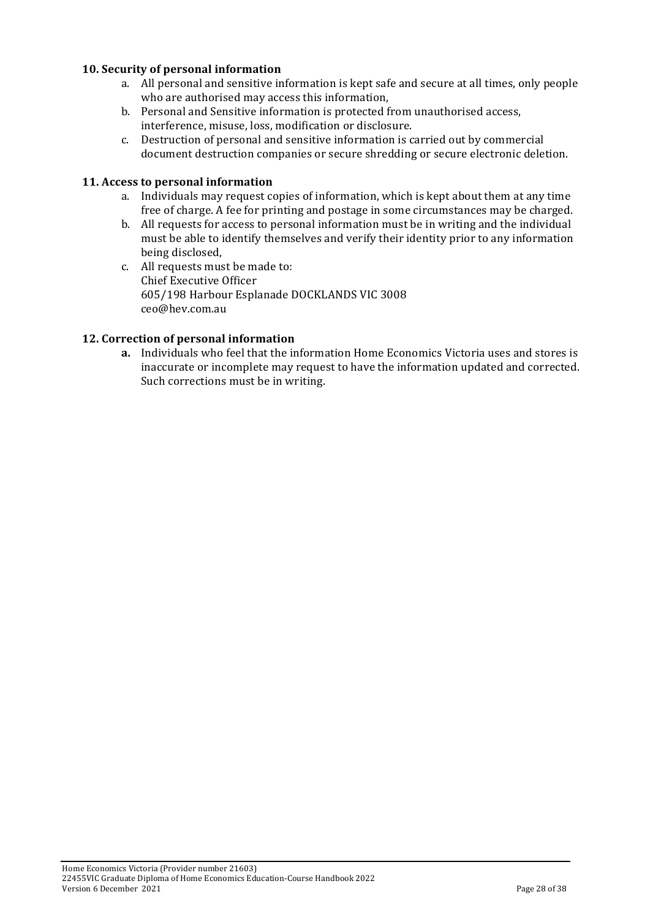### **10. Security'of'personal'information**

- a. All personal and sensitive information is kept safe and secure at all times, only people who are authorised may access this information,
- b. Personal and Sensitive information is protected from unauthorised access, interference, misuse, loss, modification or disclosure.
- c. Destruction of personal and sensitive information is carried out by commercial document destruction companies or secure shredding or secure electronic deletion.

#### **11. Access'to'personal'information**

- a. Individuals may request copies of information, which is kept about them at any time free of charge. A fee for printing and postage in some circumstances may be charged.
- b. All requests for access to personal information must be in writing and the individual must be able to identify themselves and verify their identity prior to any information being disclosed,
- c. All requests must be made to: Chief Executive Officer 605/198 Harbour Esplanade DOCKLANDS VIC 3008 ceo@hev.com.au%

#### **12. Correction'of'personal'information**

**a.** Individuals who feel that the information Home Economics Victoria uses and stores is inaccurate or incomplete may request to have the information updated and corrected. Such corrections must be in writing.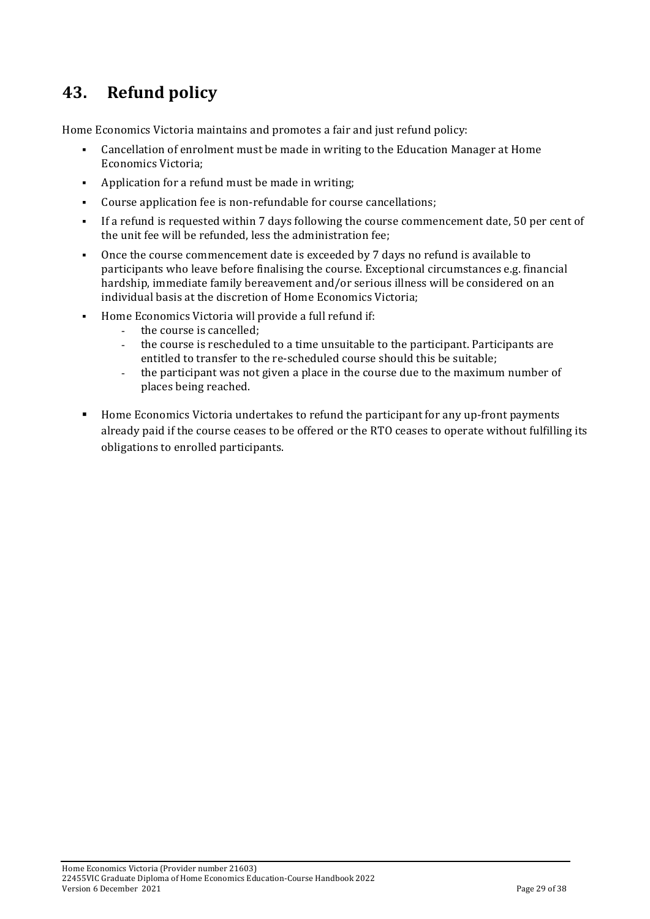## **43. Refund'policy**

Home Economics Victoria maintains and promotes a fair and just refund policy:

- Cancellation of enrolment must be made in writing to the Education Manager at Home Economics Victoria:
- . Application for a refund must be made in writing;
- Course application fee is non-refundable for course cancellations;
- If a refund is requested within 7 days following the course commencement date, 50 per cent of the unit fee will be refunded, less the administration fee:
- . Once the course commencement date is exceeded by  $\frac{7}{3}$  days no refund is available to participants who leave before finalising the course. Exceptional circumstances e.g. financial hardship, immediate family bereavement and/or serious illness will be considered on an individual basis at the discretion of Home Economics Victoria;
- " Home Economics Victoria will provide a full refund if:
	- the course is cancelled;
	- the course is rescheduled to a time unsuitable to the participant. Participants are entitled to transfer to the re-scheduled course should this be suitable;
	- the participant was not given a place in the course due to the maximum number of places being reached.
- " Home Economics Victoria undertakes to refund the participant for any up-front payments already paid if the course ceases to be offered or the RTO ceases to operate without fulfilling its obligations to enrolled participants.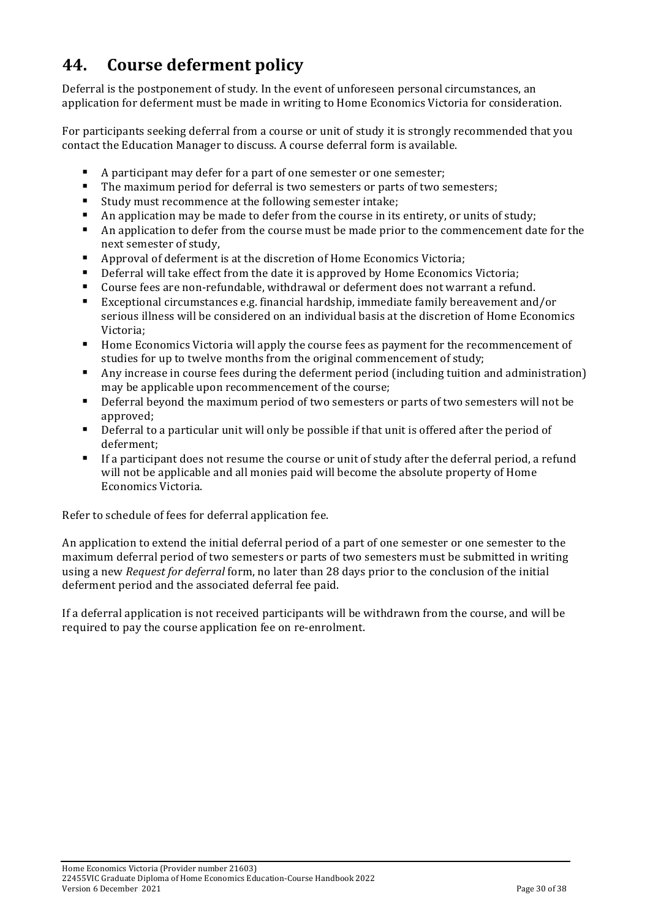## **44. Course'deferment'policy**

Deferral is the postponement of study. In the event of unforeseen personal circumstances, an application for deferment must be made in writing to Home Economics Victoria for consideration.

For participants seeking deferral from a course or unit of study it is strongly recommended that you contact the Education Manager to discuss. A course deferral form is available.

- A participant may defer for a part of one semester or one semester;
- $\blacksquare$  The maximum period for deferral is two semesters or parts of two semesters;
- Study must recommence at the following semester intake;
- $\blacksquare$  An application may be made to defer from the course in its entirety, or units of study;
- If An application to defer from the course must be made prior to the commencement date for the next semester of study,
- $\blacksquare$  Approval of deferment is at the discretion of Home Economics Victoria;
- $\blacksquare$  Deferral will take effect from the date it is approved by Home Economics Victoria;
- $\blacksquare$  Course fees are non-refundable, withdrawal or deferment does not warrant a refund.
- Exceptional circumstances e.g. financial hardship, immediate family bereavement and/or serious illness will be considered on an individual basis at the discretion of Home Economics Victoria;
- " Home Economics Victoria will apply the course fees as payment for the recommencement of studies for up to twelve months from the original commencement of study;
- $\blacksquare$  Any increase in course fees during the deferment period (including tuition and administration) may be applicable upon recommencement of the course;
- $\blacksquare$  Deferral beyond the maximum period of two semesters or parts of two semesters will not be approved;
- $\blacksquare$  Deferral to a particular unit will only be possible if that unit is offered after the period of deferment;
- $\blacksquare$  If a participant does not resume the course or unit of study after the deferral period, a refund will not be applicable and all monies paid will become the absolute property of Home Economics Victoria.

Refer to schedule of fees for deferral application fee.

An application to extend the initial deferral period of a part of one semester or one semester to the maximum deferral period of two semesters or parts of two semesters must be submitted in writing using a new *Request for deferral* form, no later than 28 days prior to the conclusion of the initial deferment period and the associated deferral fee paid.

If a deferral application is not received participants will be withdrawn from the course, and will be required to pay the course application fee on re-enrolment.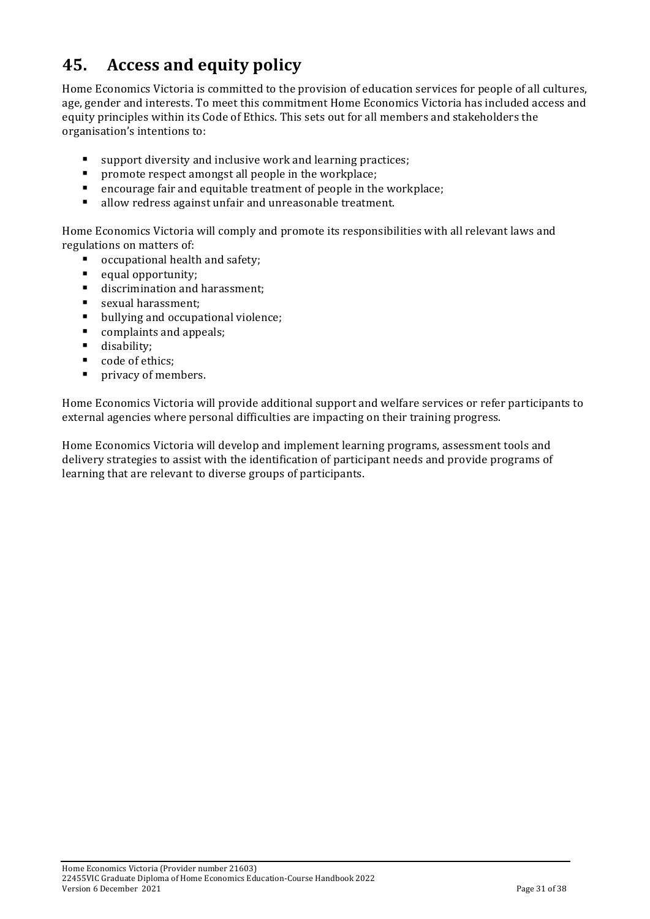# **45.** Access and equity policy

Home Economics Victoria is committed to the provision of education services for people of all cultures, age, gender and interests. To meet this commitment Home Economics Victoria has included access and equity principles within its Code of Ethics. This sets out for all members and stakeholders the organisation's intentions to:

- $\blacksquare$  support diversity and inclusive work and learning practices;
- $\blacksquare$  promote respect amongst all people in the workplace;
- $\blacksquare$  encourage fair and equitable treatment of people in the workplace;
- $\blacksquare$  allow redress against unfair and unreasonable treatment.

Home Economics Victoria will comply and promote its responsibilities with all relevant laws and regulations on matters of:

- occupational health and safety;
- $\blacksquare$  equal opportunity;
- $\blacksquare$  discrimination and harassment;
- **E** sexual harassment;
- $\blacksquare$  bullying and occupational violence;
- $\blacksquare$  complaints and appeals;
- $\blacksquare$  disability;
- code of ethics;
- $\blacksquare$  privacy of members.

Home Economics Victoria will provide additional support and welfare services or refer participants to external agencies where personal difficulties are impacting on their training progress.

Home Economics Victoria will develop and implement learning programs, assessment tools and delivery strategies to assist with the identification of participant needs and provide programs of learning that are relevant to diverse groups of participants.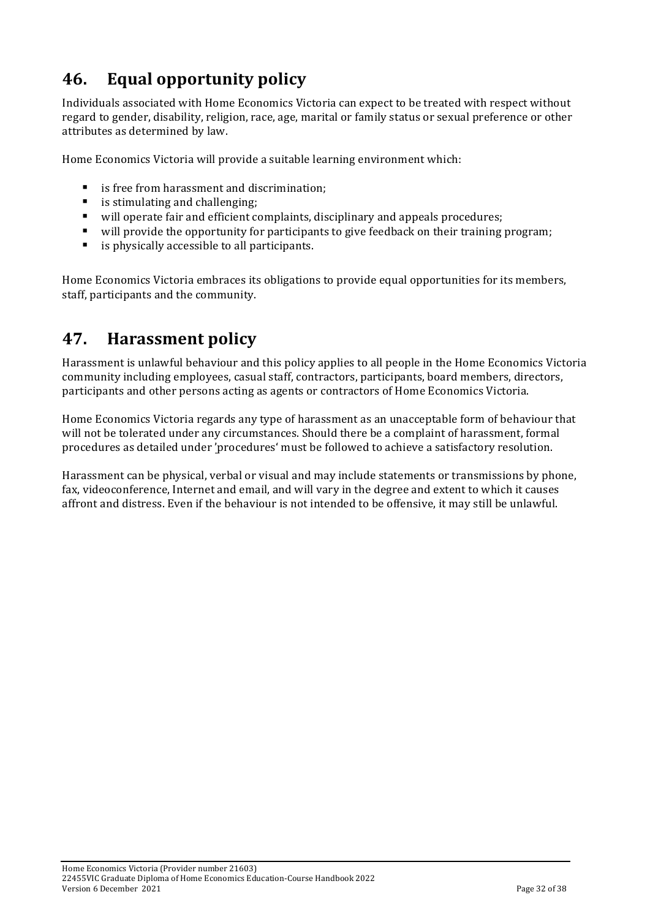# **46.** Equal opportunity policy

Individuals associated with Home Economics Victoria can expect to be treated with respect without regard to gender, disability, religion, race, age, marital or family status or sexual preference or other attributes as determined by law.

Home Economics Victoria will provide a suitable learning environment which:

- is free from harassment and discrimination;
- $\blacksquare$  is stimulating and challenging:
- " will operate fair and efficient complaints, disciplinary and appeals procedures;
- " will provide the opportunity for participants to give feedback on their training program;
- $\blacksquare$  is physically accessible to all participants.

Home Economics Victoria embraces its obligations to provide equal opportunities for its members, staff, participants and the community.

## **47. Harassment policy**

Harassment is unlawful behaviour and this policy applies to all people in the Home Economics Victoria community including employees, casual staff, contractors, participants, board members, directors, participants and other persons acting as agents or contractors of Home Economics Victoria.

Home Economics Victoria regards any type of harassment as an unacceptable form of behaviour that will not be tolerated under any circumstances. Should there be a complaint of harassment, formal procedures as detailed under 'procedures' must be followed to achieve a satisfactory resolution.

Harassment can be physical, verbal or visual and may include statements or transmissions by phone, fax, videoconference, Internet and email, and will vary in the degree and extent to which it causes affront and distress. Even if the behaviour is not intended to be offensive, it may still be unlawful.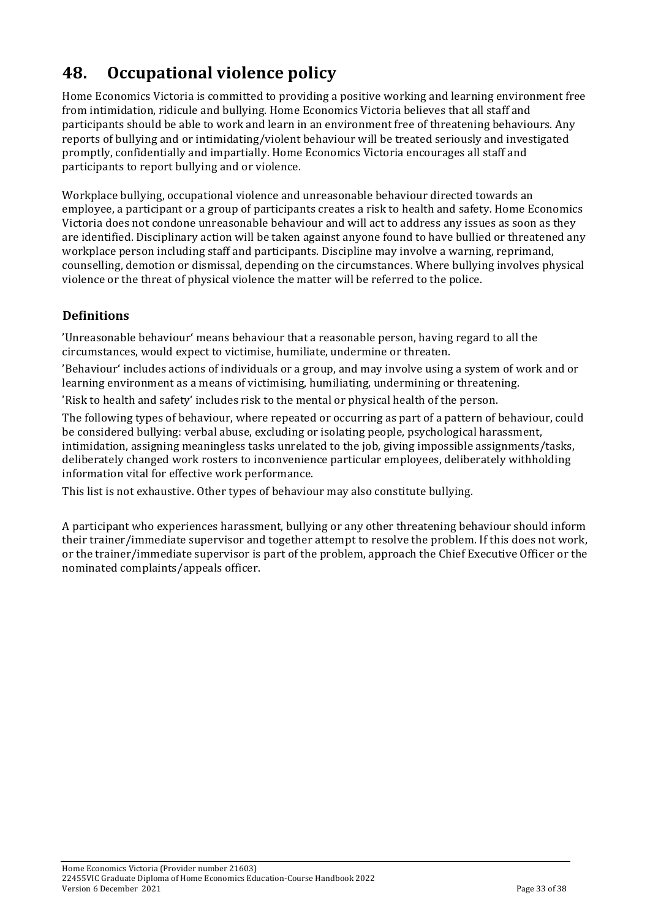# **48.** Occupational violence policy

Home Economics Victoria is committed to providing a positive working and learning environment free from intimidation, ridicule and bullying. Home Economics Victoria believes that all staff and participants should be able to work and learn in an environment free of threatening behaviours. Any reports of bullying and or intimidating/violent behaviour will be treated seriously and investigated promptly, confidentially and impartially. Home Economics Victoria encourages all staff and participants to report bullying and or violence.

Workplace bullying, occupational violence and unreasonable behaviour directed towards an employee, a participant or a group of participants creates a risk to health and safety. Home Economics Victoria does not condone unreasonable behaviour and will act to address any issues as soon as they are identified. Disciplinary action will be taken against anyone found to have bullied or threatened any workplace person including staff and participants. Discipline may involve a warning, reprimand, counselling, demotion or dismissal, depending on the circumstances. Where bullying involves physical violence or the threat of physical violence the matter will be referred to the police.

### **Definitions**

'Unreasonable behaviour' means behaviour that a reasonable person, having regard to all the circumstances, would expect to victimise, humiliate, undermine or threaten.

'Behaviour' includes actions of individuals or a group, and may involve using a system of work and or learning environment as a means of victimising, humiliating, undermining or threatening.

'Risk to health and safety' includes risk to the mental or physical health of the person.

The following types of behaviour, where repeated or occurring as part of a pattern of behaviour, could be considered bullying: verbal abuse, excluding or isolating people, psychological harassment, intimidation, assigning meaningless tasks unrelated to the job, giving impossible assignments/tasks, deliberately changed work rosters to inconvenience particular employees, deliberately withholding information vital for effective work performance.

This list is not exhaustive. Other types of behaviour may also constitute bullying.

A participant who experiences harassment, bullying or any other threatening behaviour should inform their trainer/immediate supervisor and together attempt to resolve the problem. If this does not work, or the trainer/immediate supervisor is part of the problem, approach the Chief Executive Officer or the nominated complaints/appeals officer.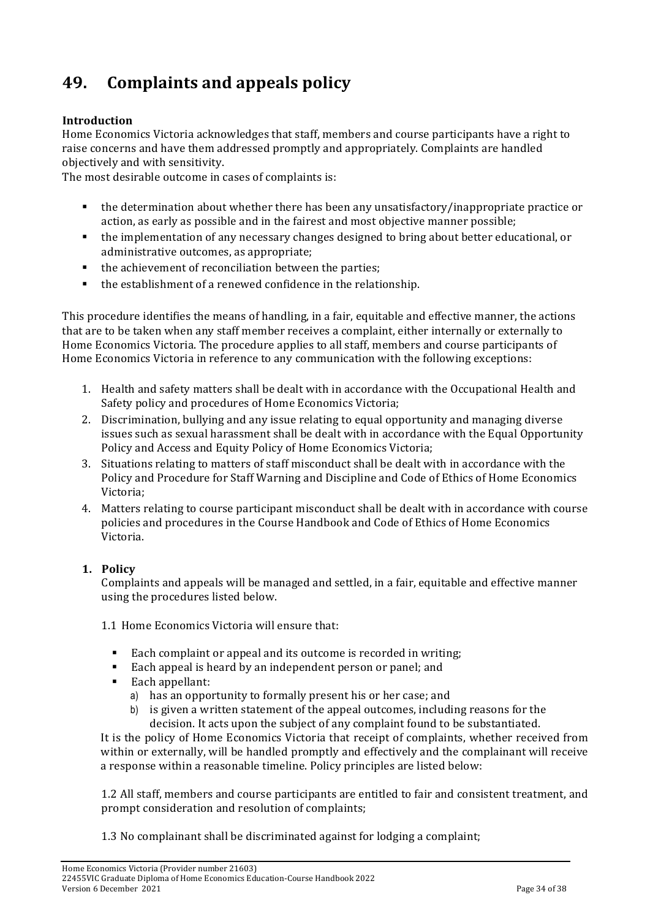# **49. Complaints+and+appeals+policy**

### **Introduction**

Home Economics Victoria acknowledges that staff, members and course participants have a right to raise concerns and have them addressed promptly and appropriately. Complaints are handled objectively and with sensitivity.

The most desirable outcome in cases of complaints is:

- " the determination about whether there has been any unsatisfactory/inappropriate practice or action, as early as possible and in the fairest and most objective manner possible;
- " the implementation of any necessary changes designed to bring about better educational, or administrative outcomes, as appropriate;
- $\blacksquare$  the achievement of reconciliation between the parties;
- $\blacksquare$  the establishment of a renewed confidence in the relationship.

This procedure identifies the means of handling, in a fair, equitable and effective manner, the actions that are to be taken when any staff member receives a complaint, either internally or externally to Home Economics Victoria. The procedure applies to all staff, members and course participants of Home Economics Victoria in reference to any communication with the following exceptions:

- 1. Health and safety matters shall be dealt with in accordance with the Occupational Health and Safety policy and procedures of Home Economics Victoria;
- 2. Discrimination, bullying and any issue relating to equal opportunity and managing diverse issues such as sexual harassment shall be dealt with in accordance with the Equal Opportunity Policy and Access and Equity Policy of Home Economics Victoria;
- 3. Situations relating to matters of staff misconduct shall be dealt with in accordance with the Policy and Procedure for Staff Warning and Discipline and Code of Ethics of Home Economics Victoria;
- 4. Matters relating to course participant misconduct shall be dealt with in accordance with course policies and procedures in the Course Handbook and Code of Ethics of Home Economics Victoria.

### **1. Policy**

Complaints and appeals will be managed and settled, in a fair, equitable and effective manner using the procedures listed below.

1.1 Home Economics Victoria will ensure that:

- Each complaint or appeal and its outcome is recorded in writing;
- Each appeal is heard by an independent person or panel; and
- Each appellant:
	- a) has an opportunity to formally present his or her case; and
	- b) is given a written statement of the appeal outcomes, including reasons for the decision. It acts upon the subject of any complaint found to be substantiated.

It is the policy of Home Economics Victoria that receipt of complaints, whether received from within or externally, will be handled promptly and effectively and the complainant will receive a response within a reasonable timeline. Policy principles are listed below:

1.2 All staff, members and course participants are entitled to fair and consistent treatment, and prompt consideration and resolution of complaints:

1.3 No complainant shall be discriminated against for lodging a complaint;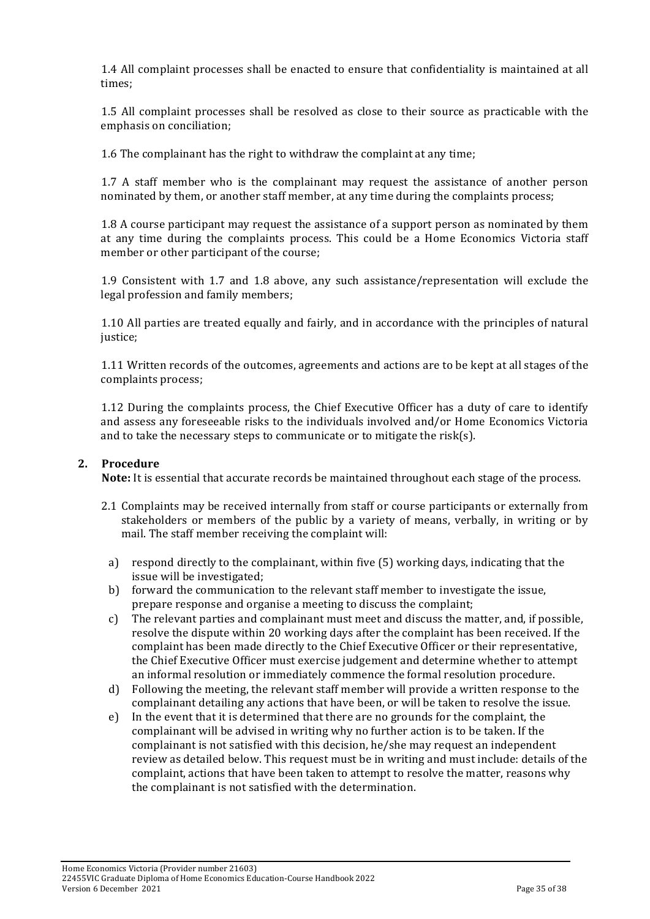1.4 All complaint processes shall be enacted to ensure that confidentiality is maintained at all times;

1.5 All complaint processes shall be resolved as close to their source as practicable with the emphasis on conciliation;

1.6 The complainant has the right to withdraw the complaint at any time;

1.7 A staff member who is the complainant may request the assistance of another person nominated by them, or another staff member, at any time during the complaints process;

1.8 A course participant may request the assistance of a support person as nominated by them at any time during the complaints process. This could be a Home Economics Victoria staff member or other participant of the course;

1.9 Consistent with 1.7 and 1.8 above, any such assistance/representation will exclude the legal profession and family members;

1.10 All parties are treated equally and fairly, and in accordance with the principles of natural justice;

1.11 Written records of the outcomes, agreements and actions are to be kept at all stages of the complaints process;

1.12 During the complaints process, the Chief Executive Officer has a duty of care to identify and assess any foreseeable risks to the individuals involved and/or Home Economics Victoria and to take the necessary steps to communicate or to mitigate the risk(s).

#### **2.' Procedure**

**Note:** It is essential that accurate records be maintained throughout each stage of the process.

- 2.1 Complaints may be received internally from staff or course participants or externally from stakeholders or members of the public by a variety of means, verbally, in writing or by mail. The staff member receiving the complaint will:
	- a) respond directly to the complainant, within five  $(5)$  working days, indicating that the issue will be investigated;
	- b) forward the communication to the relevant staff member to investigate the issue, prepare response and organise a meeting to discuss the complaint;
	- c) The relevant parties and complainant must meet and discuss the matter, and, if possible, resolve the dispute within 20 working days after the complaint has been received. If the complaint has been made directly to the Chief Executive Officer or their representative, the Chief Executive Officer must exercise judgement and determine whether to attempt an informal resolution or immediately commence the formal resolution procedure.
	- d) Following the meeting, the relevant staff member will provide a written response to the complainant detailing any actions that have been, or will be taken to resolve the issue.
	- e) In the event that it is determined that there are no grounds for the complaint, the complainant will be advised in writing why no further action is to be taken. If the complainant is not satisfied with this decision, he/she may request an independent review as detailed below. This request must be in writing and must include: details of the complaint, actions that have been taken to attempt to resolve the matter, reasons why the complainant is not satisfied with the determination.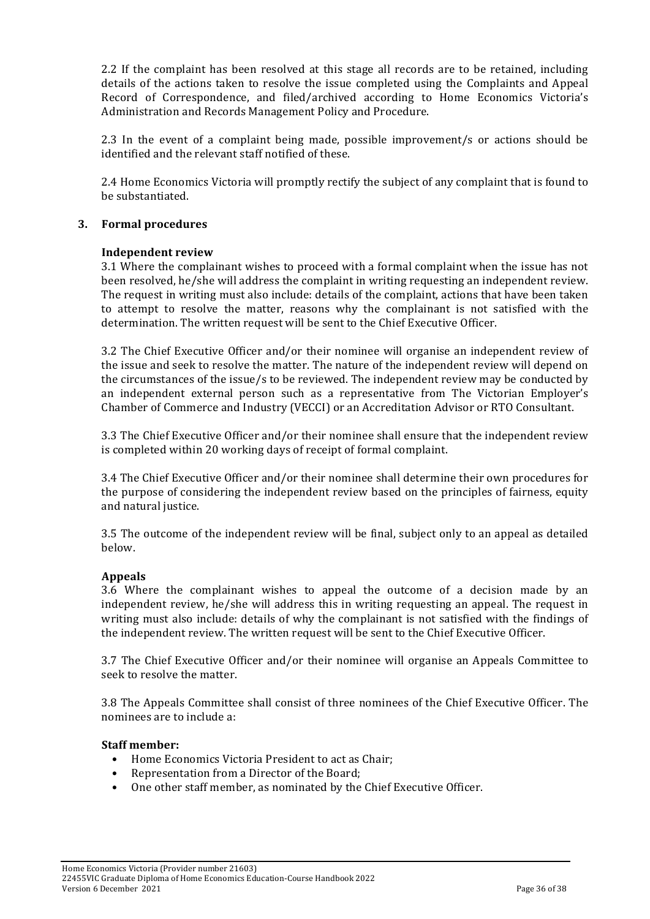2.2 If the complaint has been resolved at this stage all records are to be retained, including details of the actions taken to resolve the issue completed using the Complaints and Appeal Record of Correspondence, and filed/archived according to Home Economics Victoria's Administration and Records Management Policy and Procedure.

2.3 In the event of a complaint being made, possible improvement/s or actions should be identified and the relevant staff notified of these.

2.4 Home Economics Victoria will promptly rectify the subject of any complaint that is found to be substantiated.

#### **3.' Formal'procedures**

#### **Independent review**

3.1 Where the complainant wishes to proceed with a formal complaint when the issue has not been resolved, he/she will address the complaint in writing requesting an independent review. The request in writing must also include: details of the complaint, actions that have been taken to attempt to resolve the matter, reasons why the complainant is not satisfied with the determination. The written request will be sent to the Chief Executive Officer.

3.2 The Chief Executive Officer and/or their nominee will organise an independent review of the issue and seek to resolve the matter. The nature of the independent review will depend on the circumstances of the issue/s to be reviewed. The independent review may be conducted by an independent external person such as a representative from The Victorian Employer's Chamber of Commerce and Industry (VECCI) or an Accreditation Advisor or RTO Consultant.

3.3 The Chief Executive Officer and/or their nominee shall ensure that the independent review is completed within 20 working days of receipt of formal complaint.

3.4 The Chief Executive Officer and/or their nominee shall determine their own procedures for the purpose of considering the independent review based on the principles of fairness, equity and natural justice.

3.5 The outcome of the independent review will be final, subject only to an appeal as detailed below.

#### **Appeals**

3.6 Where the complainant wishes to appeal the outcome of a decision made by an independent review, he/she will address this in writing requesting an appeal. The request in writing must also include: details of why the complainant is not satisfied with the findings of the independent review. The written request will be sent to the Chief Executive Officer.

3.7 The Chief Executive Officer and/or their nominee will organise an Appeals Committee to seek to resolve the matter.

3.8 The Appeals Committee shall consist of three nominees of the Chief Executive Officer. The nominees are to include a:

#### **Staff'member:**

- Home Economics Victoria President to act as Chair:
- Representation from a Director of the Board;
- One other staff member, as nominated by the Chief Executive Officer.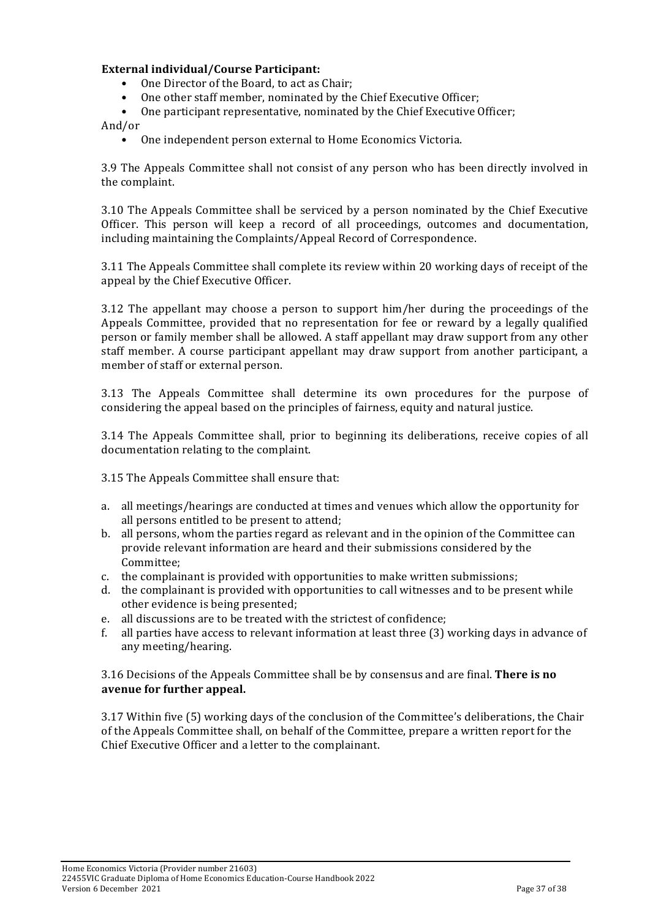#### **External'individual/Course'Participant:**

- One Director of the Board, to act as Chair;
- One other staff member, nominated by the Chief Executive Officer;
- One participant representative, nominated by the Chief Executive Officer;

And/or

 $\bullet$  One independent person external to Home Economics Victoria.

3.9 The Appeals Committee shall not consist of any person who has been directly involved in the complaint.

3.10 The Appeals Committee shall be serviced by a person nominated by the Chief Executive Officer. This person will keep a record of all proceedings, outcomes and documentation, including maintaining the Complaints/Appeal Record of Correspondence.

3.11 The Appeals Committee shall complete its review within 20 working days of receipt of the appeal by the Chief Executive Officer.

3.12 The appellant may choose a person to support him/her during the proceedings of the Appeals Committee, provided that no representation for fee or reward by a legally qualified person or family member shall be allowed. A staff appellant may draw support from any other staff member. A course participant appellant may draw support from another participant, a member of staff or external person.

3.13 The Appeals Committee shall determine its own procedures for the purpose of considering the appeal based on the principles of fairness, equity and natural justice.

3.14 The Appeals Committee shall, prior to beginning its deliberations, receive copies of all documentation relating to the complaint.

3.15 The Appeals Committee shall ensure that:

- a. all meetings/hearings are conducted at times and venues which allow the opportunity for all persons entitled to be present to attend:
- b. all persons, whom the parties regard as relevant and in the opinion of the Committee can provide relevant information are heard and their submissions considered by the Committee;
- c. the complainant is provided with opportunities to make written submissions;
- d. the complainant is provided with opportunities to call witnesses and to be present while other evidence is being presented:
- e. all discussions are to be treated with the strictest of confidence:
- f. all parties have access to relevant information at least three (3) working days in advance of any meeting/hearing.

3.16%Decisions%of%the%Appeals%Committee%shall%be%by%consensus%and%are%final.%**There'is'no' avenue'for'further'appeal.**

3.17 Within five (5) working days of the conclusion of the Committee's deliberations, the Chair of the Appeals Committee shall, on behalf of the Committee, prepare a written report for the Chief Executive Officer and a letter to the complainant.